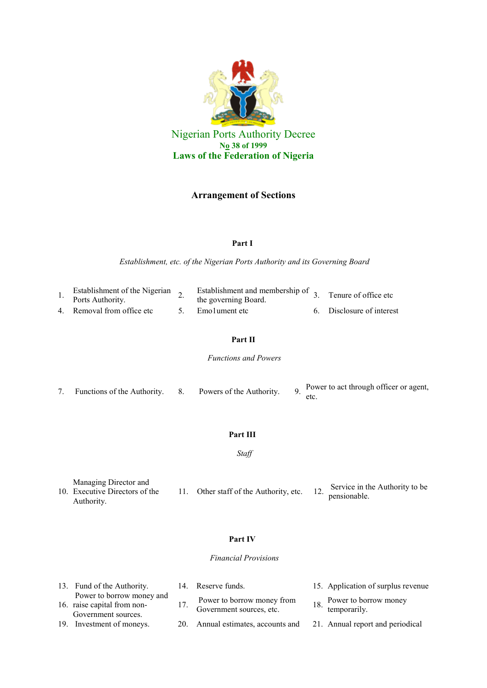

# **Arrangement of Sections**

### **Part I**

*Establishment, etc. of the Nigerian Ports Authority and its Governing Board*

| Establishment of the Nigerian<br>Ports Authority. | $\sim$ Establishment and membership of 3. Tenure of office etc<br>the governing Board. |                           |
|---------------------------------------------------|----------------------------------------------------------------------------------------|---------------------------|
| 4. Removal from office etc                        | 5. Emolument etc                                                                       | 6. Disclosure of interest |

## **Part II**

*Functions and Powers*

|  | Functions of the Authority. 8. |  | Powers of the Authority. |  | o Power to act through officer or agent, |
|--|--------------------------------|--|--------------------------|--|------------------------------------------|
|--|--------------------------------|--|--------------------------|--|------------------------------------------|

## **Part III**

*Staff*

| Managing Director and<br>10. Executive Directors of the | 11. Other staff of the Authority, etc. | Service in the Authority to be<br>pensionable. |
|---------------------------------------------------------|----------------------------------------|------------------------------------------------|
| Authority.                                              |                                        |                                                |

### **Part IV**

### *Financial Provisions*

| 13. Fund of the Authority.                                                      | 14. Reserve funds.                                                  | 15. Application of surplus revenue                                |
|---------------------------------------------------------------------------------|---------------------------------------------------------------------|-------------------------------------------------------------------|
| Power to borrow money and<br>16. raise capital from non-<br>Government sources. | Power to borrow money from<br>Government sources, etc.              | <sub>10</sub> Power to borrow money<br><sup>10</sup> temporarily. |
| 19. Investment of moneys.                                                       | 20. Annual estimates, accounts and 21. Annual report and periodical |                                                                   |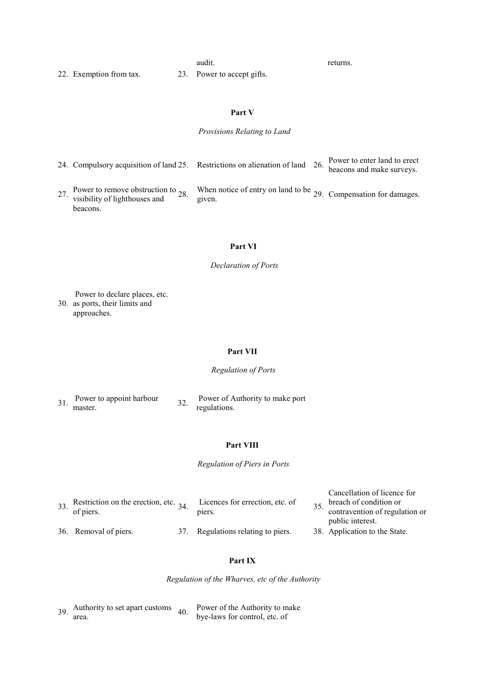audit. The returns.

Cancellation of licence for

22. Exemption from tax. 23. Power to accept gifts.

**Part V**

### *Provisions Relating to Land*

| 24. Compulsory acquisition of land 25. Restrictions on alienation of land 26. Power to enter land to erect beacons and make surveys. |  |  |
|--------------------------------------------------------------------------------------------------------------------------------------|--|--|
|--------------------------------------------------------------------------------------------------------------------------------------|--|--|

27. Power to remove obstruction to visibility of lighthouses and beacons.

28. When notice of entry on land to be 29. Compensation for damages.<br>given.

# **Part VI**

*Declaration of Ports*

Power to declare places, etc.

30. as ports, their limits and approaches.

#### **Part VII**

### *Regulation of Ports*

| 31. | Power to appoint harbour |  |
|-----|--------------------------|--|
|     | master.                  |  |

32. Power of Authority to make port regulations.

## **Part VIII**

*Regulation of Piers in Ports*

|                       | 33. Restriction on the erection, etc. $_{34}$ . Licences for errection, etc. of | $25$ breach of condition or    |
|-----------------------|---------------------------------------------------------------------------------|--------------------------------|
| of piers.             | piers.                                                                          | contravention of regulation or |
|                       |                                                                                 | public interest.               |
| 36. Removal of piers. | 37. Regulations relating to piers.                                              | 38. Application to the State.  |

## **Part IX**

*Regulation of the Wharves, etc of the Authority*

 $39.$  Authority to set apart customs  $40.$ area. Power of the Authority to make bye-laws for control, etc. of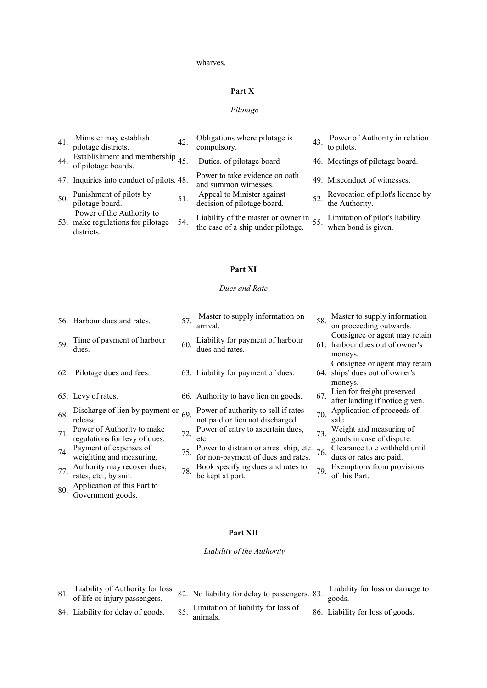#### wharves.

## **Part X**

### *Pilotage*

| 41. | Minister may establish<br>pilotage districts.                                | 42. | Obligations where pilotage is<br>compulsory.                                  | 43. Power of Authority in relation<br>to pilots.       |
|-----|------------------------------------------------------------------------------|-----|-------------------------------------------------------------------------------|--------------------------------------------------------|
| 44. | Establishment and membership $45$ .<br>of pilotage boards.                   |     | Duties. of pilotage board                                                     | 46. Meetings of pilotage board.                        |
|     | 47. Inquiries into conduct of pilots. 48.                                    |     | Power to take evidence on oath<br>and summon witnesses.                       | 49. Misconduct of witnesses.                           |
| 50. | Punishment of pilots by<br>pilotage board.                                   | 51. | Appeal to Minister against<br>decision of pilotage board.                     | 52. Revocation of pilot's licence by<br>the Authority. |
|     | Power of the Authority to<br>53. make regulations for pilotage<br>districts. | 54. | Liability of the master or owner in 55.<br>the case of a ship under pilotage. | Limitation of pilot's liability<br>when bond is given. |

## **Part XI**

## *Dues and Rate*

|     | 56. Harbour dues and rates.                                 | 57. | Master to supply information on<br>arrival.                                         | 58. | Master to supply information<br>on proceeding outwards.                     |
|-----|-------------------------------------------------------------|-----|-------------------------------------------------------------------------------------|-----|-----------------------------------------------------------------------------|
| 59. | Time of payment of harbour<br>dues.                         | 60. | Liability for payment of harbour<br>dues and rates.                                 |     | Consignee or agent may retain<br>61. harbour dues out of owner's<br>moneys. |
|     | 62. Pilotage dues and fees.                                 |     | 63. Liability for payment of dues.                                                  |     | Consignee or agent may retain<br>64. ships' dues out of owner's<br>moneys.  |
|     | 65. Levy of rates.                                          |     | 66. Authority to have lien on goods.                                                | 67. | Lien for freight preserved<br>after landing if notice given.                |
| 68. | Discharge of lien by payment or<br>release                  | 69. | Power of authority to sell if rates<br>not paid or lien not discharged.             | 70. | Application of proceeds of<br>sale.                                         |
| 71. | Power of Authority to make<br>regulations for levy of dues. | 72. | Power of entry to ascertain dues,<br>etc.                                           | 73. | Weight and measuring of<br>goods in case of dispute.                        |
| 74. | Payment of expenses of<br>weighting and measuring.          | 75. | Power to distrain or arrest ship, etc. $76$ .<br>for non-payment of dues and rates. |     | Clearance to e withheld until<br>dues or rates are paid.                    |
| 77. | Authority may recover dues,<br>rates, etc., by suit.        | 78. | Book specifying dues and rates to<br>be kept at port.                               | 79. | Exemptions from provisions<br>of this Part.                                 |
| 80. | Application of this Part to<br>Government goods.            |     |                                                                                     |     |                                                                             |
|     |                                                             |     |                                                                                     |     |                                                                             |

# **Part XII**

## *Liability of the Authority*

- 81. Liability of Authority for loss<br>of life or injury passengers.
- 
- 82. No liability for delay to passengers. 83. Liability for loss or damage to
- 84. Liability for delay of goods. 85. Limitation of liability for loss of animals. 86. Liability for loss of goods.
- goods.
	-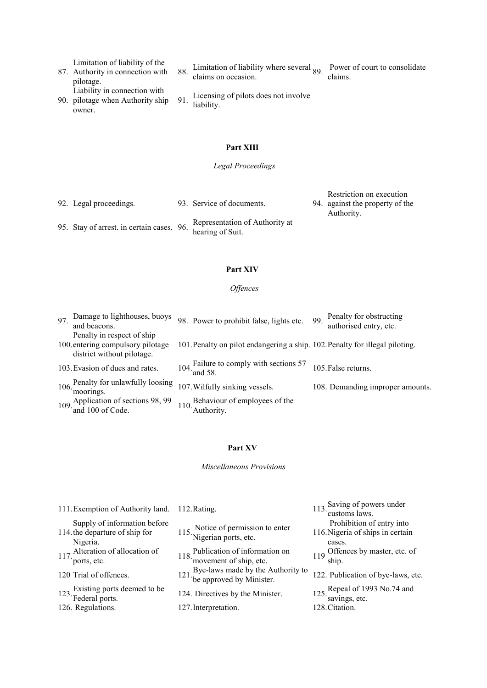Limitation of liability of the

- 87. Authority in connection with pilotage. Liability in connection with
- 90. pilotage when Authority ship owner.
- 88. Limitation of liability where several 89. Power of court to consolidate claims on occasion.

91. Licensing of pilots does not involve liability.

## **Part XIII**

## *Legal Proceedings*

- 
- 92. Legal proceedings. 93. Service of documents.

Restriction on execution

- 94. against the property of the Authority.
- 95. Stay of arrest. in certain cases. 96. Representation of Authority at hearing of Suit.

#### **Part XIV**

### *Offences*

| 97. | Damage to lighthouses, buoys<br>and beacons.                                                  | 98. Power to prohibit false, lights etc.                                     | 99. | Penalty for obstructing<br>authorised entry, etc. |
|-----|-----------------------------------------------------------------------------------------------|------------------------------------------------------------------------------|-----|---------------------------------------------------|
|     | Penalty in respect of ship<br>100. entering compulsory pilotage<br>district without pilotage. | 101. Penalty on pilot endangering a ship. 102. Penalty for illegal piloting. |     |                                                   |
|     | 103. Evasion of dues and rates.                                                               | 104. Failure to comply with sections 57<br>and 58.                           |     | 105. False returns.                               |
|     | 106. Penalty for unlawfully loosing<br>moorings.                                              | 107. Wilfully sinking vessels.                                               |     | 108. Demanding improper amounts.                  |
|     | 109. Application of sections 98, 99<br>and 100 of Code.                                       | 110. Behaviour of employees of the<br>Authority.                             |     |                                                   |

## **Part XV**

*Miscellaneous Provisions*

| 111. Exemption of Authority land.                                          | 112. Rating.                                                        | 113. Saving of powers under<br>customs laws.                            |
|----------------------------------------------------------------------------|---------------------------------------------------------------------|-------------------------------------------------------------------------|
| Supply of information before<br>114. the departure of ship for<br>Nigeria. | 115. Notice of permission to enter<br>Nigerian ports, etc.          | Prohibition of entry into<br>116. Nigeria of ships in certain<br>cases. |
| 117. Alteration of allocation of<br>ports, etc.                            | 118. Publication of information on<br>movement of ship, etc.        | 119 Offences by master, etc. of<br>ship.                                |
| 120 Trial of offences.                                                     | 121. Bye-laws made by the Authority to<br>the approved by Minister. | 122. Publication of bye-laws, etc.                                      |
| 123. Existing ports deemed to be<br>Federal ports.                         | 124. Directives by the Minister.                                    | 125. Repeal of 1993 No.74 and<br>savings, etc.                          |
| 126. Regulations.                                                          | 127. Interpretation.                                                | 128. Citation.                                                          |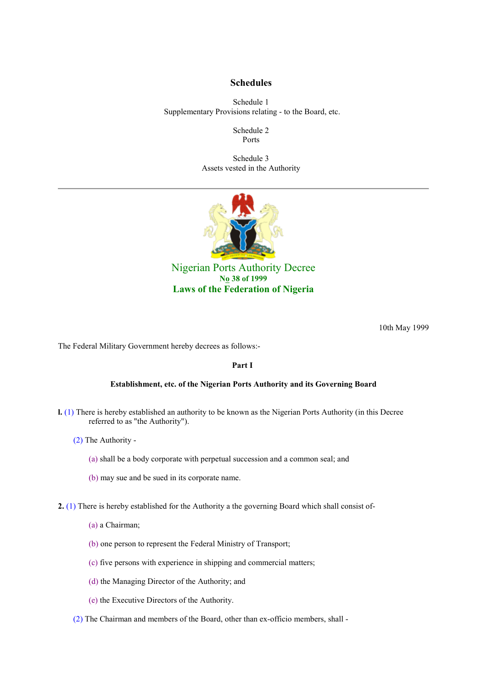## **Schedules**

Schedule 1 Supplementary Provisions relating - to the Board, etc.

> Schedule 2 Ports

Schedule 3 Assets vested in the Authority



Nigerian Ports Authority Decree **No 38 of 1999 Laws of the Federation of Nigeria** 

10th May 1999

The Federal Military Government hereby decrees as follows:-

## **Part I**

#### **Establishment, etc. of the Nigerian Ports Authority and its Governing Board**

- **l.** (1) There is hereby established an authority to be known as the Nigerian Ports Authority (in this Decree referred to as "the Authority").
	- (2) The Authority
		- (a) shall be a body corporate with perpetual succession and a common seal; and
		- (b) may sue and be sued in its corporate name.
- **2.** (1) There is hereby established for the Authority a the governing Board which shall consist of-
	- (a) a Chairman;
	- (b) one person to represent the Federal Ministry of Transport;
	- (c) five persons with experience in shipping and commercial matters;
	- (d) the Managing Director of the Authority; and
	- (e) the Executive Directors of the Authority.
	- (2) The Chairman and members of the Board, other than ex-officio members, shall -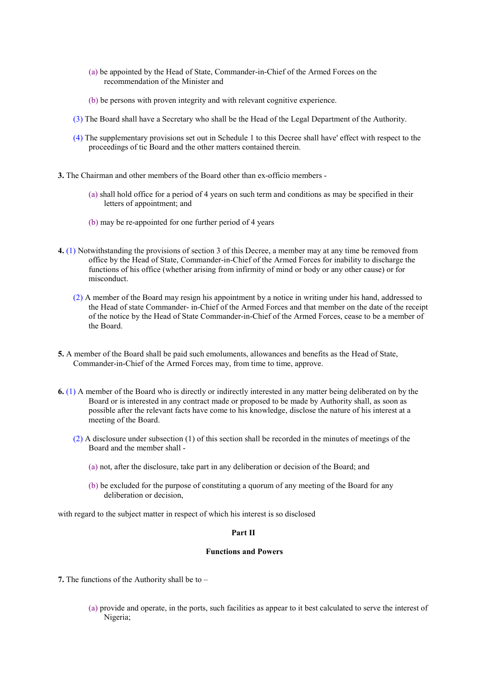- (a) be appointed by the Head of State, Commander-in-Chief of the Armed Forces on the recommendation of the Minister and
- (b) be persons with proven integrity and with relevant cognitive experience.
- (3) The Board shall have a Secretary who shall be the Head of the Legal Department of the Authority.
- (4) The supplementary provisions set out in Schedule 1 to this Decree shall have' effect with respect to the proceedings of tic Board and the other matters contained therein.
- **3.** The Chairman and other members of the Board other than ex-officio members
	- (a) shall hold office for a period of 4 years on such term and conditions as may be specified in their letters of appointment; and
	- (b) may be re-appointed for one further period of 4 years
- **4.** (1) Notwithstanding the provisions of section 3 of this Decree, a member may at any time be removed from office by the Head of State, Commander-in-Chief of the Armed Forces for inability to discharge the functions of his office (whether arising from infirmity of mind or body or any other cause) or for misconduct.
	- (2) A member of the Board may resign his appointment by a notice in writing under his hand, addressed to the Head of state Commander- in-Chief of the Armed Forces and that member on the date of the receipt of the notice by the Head of State Commander-in-Chief of the Armed Forces, cease to be a member of the Board.
- **5.** A member of the Board shall be paid such emoluments, allowances and benefits as the Head of State, Commander-in-Chief of the Armed Forces may, from time to time, approve.
- **6.** (1) A member of the Board who is directly or indirectly interested in any matter being deliberated on by the Board or is interested in any contract made or proposed to be made by Authority shall, as soon as possible after the relevant facts have come to his knowledge, disclose the nature of his interest at a meeting of the Board.
	- (2) A disclosure under subsection (1) of this section shall be recorded in the minutes of meetings of the Board and the member shall -
		- (a) not, after the disclosure, take part in any deliberation or decision of the Board; and
		- (b) be excluded for the purpose of constituting a quorum of any meeting of the Board for any deliberation or decision,

with regard to the subject matter in respect of which his interest is so disclosed

### **Part II**

## **Functions and Powers**

- **7.** The functions of the Authority shall be to
	- (a) provide and operate, in the ports, such facilities as appear to it best calculated to serve the interest of Nigeria;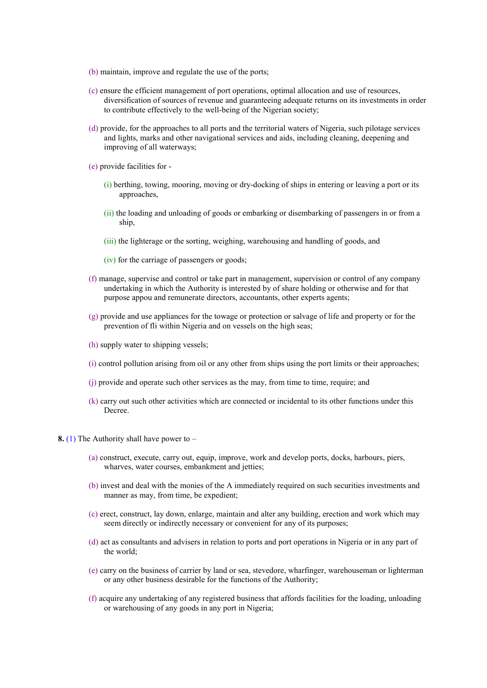- (b) maintain, improve and regulate the use of the ports;
- (c) ensure the efficient management of port operations, optimal allocation and use of resources, diversification of sources of revenue and guaranteeing adequate returns on its investments in order to contribute effectively to the well-being of the Nigerian society;
- (d) provide, for the approaches to all ports and the territorial waters of Nigeria, such pilotage services and lights, marks and other navigational services and aids, including cleaning, deepening and improving of all waterways;
- (e) provide facilities for
	- (i) berthing, towing, mooring, moving or dry-docking of ships in entering or leaving a port or its approaches,
	- (ii) the loading and unloading of goods or embarking or disembarking of passengers in or from a ship,
	- (iii) the lighterage or the sorting, weighing, warehousing and handling of goods, and
	- (iv) for the carriage of passengers or goods;
- (f) manage, supervise and control or take part in management, supervision or control of any company undertaking in which the Authority is interested by of share holding or otherwise and for that purpose appou and remunerate directors, accountants, other experts agents;
- (g) provide and use appliances for the towage or protection or salvage of life and property or for the prevention of fli within Nigeria and on vessels on the high seas;
- (h) supply water to shipping vessels;
- (i) control pollution arising from oil or any other from ships using the port limits or their approaches;
- (j) provide and operate such other services as the may, from time to time, require; and
- (k) carry out such other activities which are connected or incidental to its other functions under this Decree.
- **8.** (1) The Authority shall have power to
	- (a) construct, execute, carry out, equip, improve, work and develop ports, docks, harbours, piers, wharves, water courses, embankment and jetties;
	- (b) invest and deal with the monies of the A immediately required on such securities investments and manner as may, from time, be expedient;
	- (c) erect, construct, lay down, enlarge, maintain and alter any building, erection and work which may seem directly or indirectly necessary or convenient for any of its purposes;
	- (d) act as consultants and advisers in relation to ports and port operations in Nigeria or in any part of the world;
	- (e) carry on the business of carrier by land or sea, stevedore, wharfinger, warehouseman or lighterman or any other business desirable for the functions of the Authority;
	- (f) acquire any undertaking of any registered business that affords facilities for the loading, unloading or warehousing of any goods in any port in Nigeria;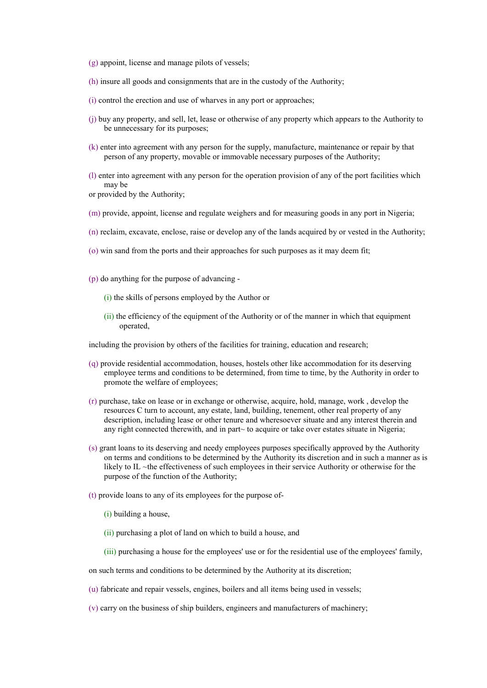- (g) appoint, license and manage pilots of vessels;
- (h) insure all goods and consignments that are in the custody of the Authority;
- (i) control the erection and use of wharves in any port or approaches;
- (j) buy any property, and sell, let, lease or otherwise of any property which appears to the Authority to be unnecessary for its purposes;
- (k) enter into agreement with any person for the supply, manufacture, maintenance or repair by that person of any property, movable or immovable necessary purposes of the Authority;
- (l) enter into agreement with any person for the operation provision of any of the port facilities which may be
- or provided by the Authority;
- (m) provide, appoint, license and regulate weighers and for measuring goods in any port in Nigeria;
- (n) reclaim, excavate, enclose, raise or develop any of the lands acquired by or vested in the Authority;
- (o) win sand from the ports and their approaches for such purposes as it may deem fit;
- (p) do anything for the purpose of advancing
	- (i) the skills of persons employed by the Author or
	- (ii) the efficiency of the equipment of the Authority or of the manner in which that equipment operated,

including the provision by others of the facilities for training, education and research;

- (q) provide residential accommodation, houses, hostels other like accommodation for its deserving employee terms and conditions to be determined, from time to time, by the Authority in order to promote the welfare of employees;
- (r) purchase, take on lease or in exchange or otherwise, acquire, hold, manage, work , develop the resources C turn to account, any estate, land, building, tenement, other real property of any description, including lease or other tenure and wheresoever situate and any interest therein and any right connected therewith, and in part~ to acquire or take over estates situate in Nigeria;
- (s) grant loans to its deserving and needy employees purposes specifically approved by the Authority on terms and conditions to be determined by the Authority its discretion and in such a manner as is likely to IL ~the effectiveness of such employees in their service Authority or otherwise for the purpose of the function of the Authority;
- (t) provide loans to any of its employees for the purpose of-
	- (i) building a house,
	- (ii) purchasing a plot of land on which to build a house, and
	- (iii) purchasing a house for the employees' use or for the residential use of the employees' family,
- on such terms and conditions to be determined by the Authority at its discretion;
- (u) fabricate and repair vessels, engines, boilers and all items being used in vessels;
- (v) carry on the business of ship builders, engineers and manufacturers of machinery;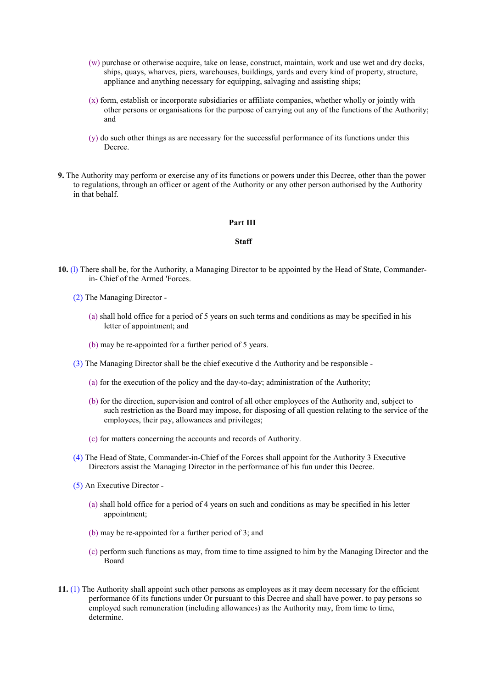- (w) purchase or otherwise acquire, take on lease, construct, maintain, work and use wet and dry docks, ships, quays, wharves, piers, warehouses, buildings, yards and every kind of property, structure, appliance and anything necessary for equipping, salvaging and assisting ships;
- (x) form, establish or incorporate subsidiaries or affiliate companies, whether wholly or jointly with other persons or organisations for the purpose of carrying out any of the functions of the Authority; and
- (y) do such other things as are necessary for the successful performance of its functions under this Decree.
- **9.** The Authority may perform or exercise any of its functions or powers under this Decree, other than the power to regulations, through an officer or agent of the Authority or any other person authorised by the Authority in that behalf.

#### **Part III**

### **Staff**

- **10.** (l) There shall be, for the Authority, a Managing Director to be appointed by the Head of State, Commanderin- Chief of the Armed 'Forces.
	- (2) The Managing Director
		- (a) shall hold office for a period of 5 years on such terms and conditions as may be specified in his letter of appointment; and
		- (b) may be re-appointed for a further period of 5 years.
	- (3) The Managing Director shall be the chief executive d the Authority and be responsible
		- (a) for the execution of the policy and the day-to-day; administration of the Authority;
		- (b) for the direction, supervision and control of all other employees of the Authority and, subject to such restriction as the Board may impose, for disposing of all question relating to the service of the employees, their pay, allowances and privileges;
		- (c) for matters concerning the accounts and records of Authority.
	- (4) The Head of State, Commander-in-Chief of the Forces shall appoint for the Authority 3 Executive Directors assist the Managing Director in the performance of his fun under this Decree.
	- (5) An Executive Director
		- (a) shall hold office for a period of 4 years on such and conditions as may be specified in his letter appointment;
		- (b) may be re-appointed for a further period of 3; and
		- (c) perform such functions as may, from time to time assigned to him by the Managing Director and the Board
- **11.** (1) The Authority shall appoint such other persons as employees as it may deem necessary for the efficient performance 6f its functions under Or pursuant to this Decree and shall have power. to pay persons so employed such remuneration (including allowances) as the Authority may, from time to time, determine.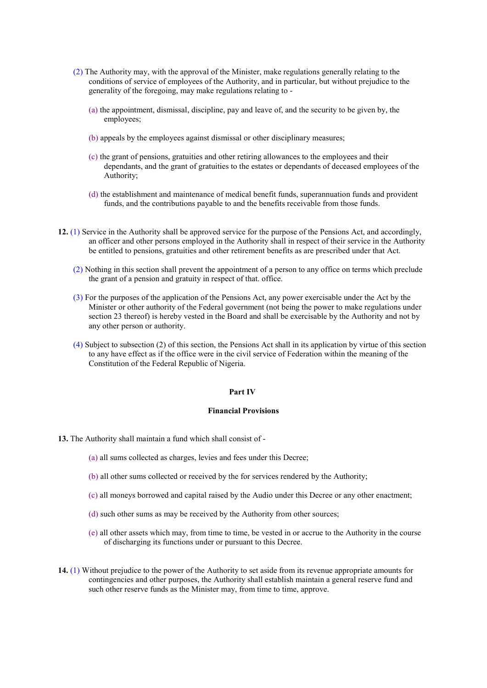- (2) The Authority may, with the approval of the Minister, make regulations generally relating to the conditions of service of employees of the Authority, and in particular, but without prejudice to the generality of the foregoing, may make regulations relating to -
	- (a) the appointment, dismissal, discipline, pay and leave of, and the security to be given by, the employees;
	- (b) appeals by the employees against dismissal or other disciplinary measures;
	- (c) the grant of pensions, gratuities and other retiring allowances to the employees and their dependants, and the grant of gratuities to the estates or dependants of deceased employees of the Authority;
	- (d) the establishment and maintenance of medical benefit funds, superannuation funds and provident funds, and the contributions payable to and the benefits receivable from those funds.
- **12.** (1) Service in the Authority shall be approved service for the purpose of the Pensions Act, and accordingly, an officer and other persons employed in the Authority shall in respect of their service in the Authority be entitled to pensions, gratuities and other retirement benefits as are prescribed under that Act.
	- (2) Nothing in this section shall prevent the appointment of a person to any office on terms which preclude the grant of a pension and gratuity in respect of that. office.
	- (3) For the purposes of the application of the Pensions Act, any power exercisable under the Act by the Minister or other authority of the Federal government (not being the power to make regulations under section 23 thereof) is hereby vested in the Board and shall be exercisable by the Authority and not by any other person or authority.
	- (4) Subject to subsection (2) of this section, the Pensions Act shall in its application by virtue of this section to any have effect as if the office were in the civil service of Federation within the meaning of the Constitution of the Federal Republic of Nigeria.

#### **Part IV**

### **Financial Provisions**

**13.** The Authority shall maintain a fund which shall consist of -

- (a) all sums collected as charges, levies and fees under this Decree;
- (b) all other sums collected or received by the for services rendered by the Authority;
- (c) all moneys borrowed and capital raised by the Audio under this Decree or any other enactment;
- (d) such other sums as may be received by the Authority from other sources;
- (e) all other assets which may, from time to time, be vested in or accrue to the Authority in the course of discharging its functions under or pursuant to this Decree.
- **14.** (1) Without prejudice to the power of the Authority to set aside from its revenue appropriate amounts for contingencies and other purposes, the Authority shall establish maintain a general reserve fund and such other reserve funds as the Minister may, from time to time, approve.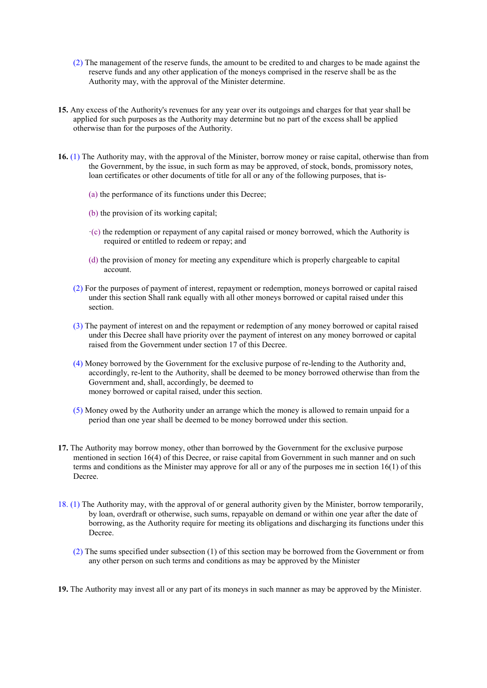- (2) The management of the reserve funds, the amount to be credited to and charges to be made against the reserve funds and any other application of the moneys comprised in the reserve shall be as the Authority may, with the approval of the Minister determine.
- **15.** Any excess of the Authority's revenues for any year over its outgoings and charges for that year shall be applied for such purposes as the Authority may determine but no part of the excess shall be applied otherwise than for the purposes of the Authority.
- **16.** (1) The Authority may, with the approval of the Minister, borrow money or raise capital, otherwise than from the Government, by the issue, in such form as may be approved, of stock, bonds, promissory notes, loan certificates or other documents of title for all or any of the following purposes, that is-
	- (a) the performance of its functions under this Decree;
	- (b) the provision of its working capital;
	- $\cdot$ (c) the redemption or repayment of any capital raised or money borrowed, which the Authority is required or entitled to redeem or repay; and
	- (d) the provision of money for meeting any expenditure which is properly chargeable to capital account.
	- (2) For the purposes of payment of interest, repayment or redemption, moneys borrowed or capital raised under this section Shall rank equally with all other moneys borrowed or capital raised under this section.
	- (3) The payment of interest on and the repayment or redemption of any money borrowed or capital raised under this Decree shall have priority over the payment of interest on any money borrowed or capital raised from the Government under section 17 of this Decree.
	- (4) Money borrowed by the Government for the exclusive purpose of re-lending to the Authority and, accordingly, re-lent to the Authority, shall be deemed to be money borrowed otherwise than from the Government and, shall, accordingly, be deemed to money borrowed or capital raised, under this section.
	- (5) Money owed by the Authority under an arrange which the money is allowed to remain unpaid for a period than one year shall be deemed to be money borrowed under this section.
- **17.** The Authority may borrow money, other than borrowed by the Government for the exclusive purpose mentioned in section 16(4) of this Decree, or raise capital from Government in such manner and on such terms and conditions as the Minister may approve for all or any of the purposes me in section 16(1) of this Decree.
- 18. (1) The Authority may, with the approval of or general authority given by the Minister, borrow temporarily, by loan, overdraft or otherwise, such sums, repayable on demand or within one year after the date of borrowing, as the Authority require for meeting its obligations and discharging its functions under this Decree.
	- (2) The sums specified under subsection (1) of this section may be borrowed from the Government or from any other person on such terms and conditions as may be approved by the Minister
- **19.** The Authority may invest all or any part of its moneys in such manner as may be approved by the Minister.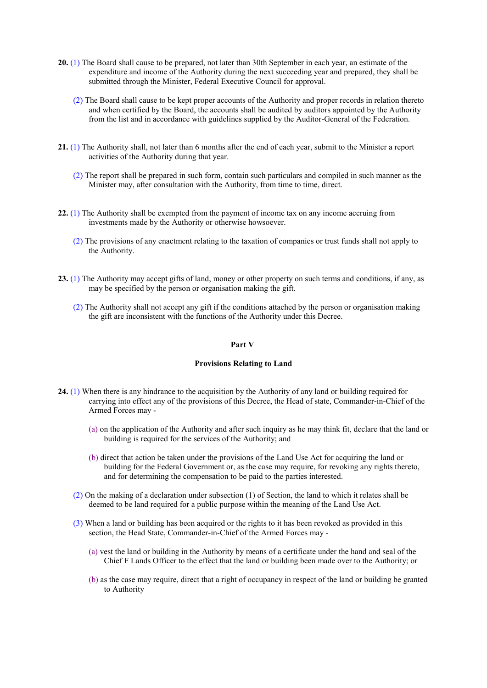- **20.** (1) The Board shall cause to be prepared, not later than 30th September in each year, an estimate of the expenditure and income of the Authority during the next succeeding year and prepared, they shall be submitted through the Minister, Federal Executive Council for approval.
	- (2) The Board shall cause to be kept proper accounts of the Authority and proper records in relation thereto and when certified by the Board, the accounts shall be audited by auditors appointed by the Authority from the list and in accordance with guidelines supplied by the Auditor-General of the Federation.
- **21.** (1) The Authority shall, not later than 6 months after the end of each year, submit to the Minister a report activities of the Authority during that year.
	- (2) The report shall be prepared in such form, contain such particulars and compiled in such manner as the Minister may, after consultation with the Authority, from time to time, direct.
- **22.** (1) The Authority shall be exempted from the payment of income tax on any income accruing from investments made by the Authority or otherwise howsoever.
	- (2) The provisions of any enactment relating to the taxation of companies or trust funds shall not apply to the Authority.
- **23.** (1) The Authority may accept gifts of land, money or other property on such terms and conditions, if any, as may be specified by the person or organisation making the gift.
	- (2) The Authority shall not accept any gift if the conditions attached by the person or organisation making the gift are inconsistent with the functions of the Authority under this Decree.

#### **Part V**

#### **Provisions Relating to Land**

- **24.** (1) When there is any hindrance to the acquisition by the Authority of any land or building required for carrying into effect any of the provisions of this Decree, the Head of state, Commander-in-Chief of the Armed Forces may -
	- (a) on the application of the Authority and after such inquiry as he may think fit, declare that the land or building is required for the services of the Authority; and
	- (b) direct that action be taken under the provisions of the Land Use Act for acquiring the land or building for the Federal Government or, as the case may require, for revoking any rights thereto, and for determining the compensation to be paid to the parties interested.
	- (2) On the making of a declaration under subsection (1) of Section, the land to which it relates shall be deemed to be land required for a public purpose within the meaning of the Land Use Act.
	- (3) When a land or building has been acquired or the rights to it has been revoked as provided in this section, the Head State, Commander-in-Chief of the Armed Forces may -
		- (a) vest the land or building in the Authority by means of a certificate under the hand and seal of the Chief F Lands Officer to the effect that the land or building been made over to the Authority; or
		- (b) as the case may require, direct that a right of occupancy in respect of the land or building be granted to Authority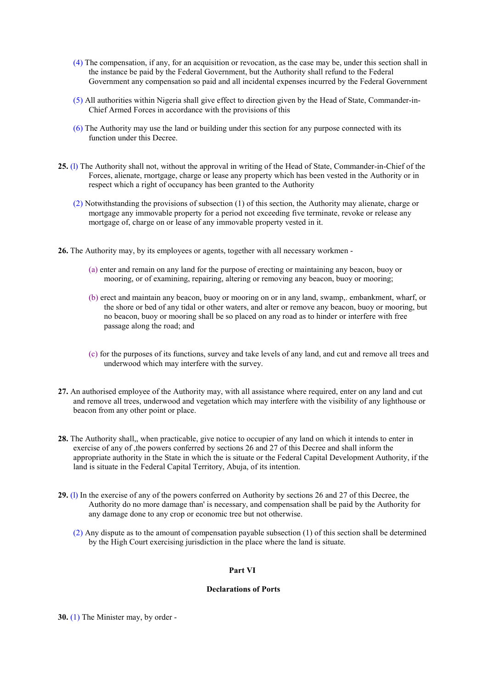- (4) The compensation, if any, for an acquisition or revocation, as the case may be, under this section shall in the instance be paid by the Federal Government, but the Authority shall refund to the Federal Government any compensation so paid and all incidental expenses incurred by the Federal Government
- (5) All authorities within Nigeria shall give effect to direction given by the Head of State, Commander-in-Chief Armed Forces in accordance with the provisions of this
- (6) The Authority may use the land or building under this section for any purpose connected with its function under this Decree.
- **25.** (l) The Authority shall not, without the approval in writing of the Head of State, Commander-in-Chief of the Forces, alienate, rnortgage, charge or lease any property which has been vested in the Authority or in respect which a right of occupancy has been granted to the Authority
	- (2) Notwithstanding the provisions of subsection (1) of this section, the Authority may alienate, charge or mortgage any immovable property for a period not exceeding five terminate, revoke or release any mortgage of, charge on or lease of any immovable property vested in it.
- **26.** The Authority may, by its employees or agents, together with all necessary workmen
	- (a) enter and remain on any land for the purpose of erecting or maintaining any beacon, buoy or mooring, or of examining, repairing, altering or removing any beacon, buoy or mooring;
	- (b) erect and maintain any beacon, buoy or mooring on or in any land, swamp,. embankment, wharf, or the shore or bed of any tidal or other waters, and alter or remove any beacon, buoy or mooring, but no beacon, buoy or mooring shall be so placed on any road as to hinder or interfere with free passage along the road; and
	- (c) for the purposes of its functions, survey and take levels of any land, and cut and remove all trees and underwood which may interfere with the survey.
- **27.** An authorised employee of the Authority may, with all assistance where required, enter on any land and cut and remove all trees, underwood and vegetation which may interfere with the visibility of any lighthouse or beacon from any other point or place.
- **28.** The Authority shall,, when practicable, give notice to occupier of any land on which it intends to enter in exercise of any of ,the powers conferred by sections 26 and 27 of this Decree and shall inform the appropriate authority in the State in which the is situate or the Federal Capital Development Authority, if the land is situate in the Federal Capital Territory, Abuja, of its intention.
- **29.** (l) In the exercise of any of the powers conferred on Authority by sections 26 and 27 of this Decree, the Authority do no more damage than' is necessary, and compensation shall be paid by the Authority for any damage done to any crop or economic tree but not otherwise.
	- (2) Any dispute as to the amount of compensation payable subsection (1) of this section shall be determined by the High Court exercising jurisdiction in the place where the land is situate.

#### **Part VI**

#### **Declarations of Ports**

**30.** (1) The Minister may, by order -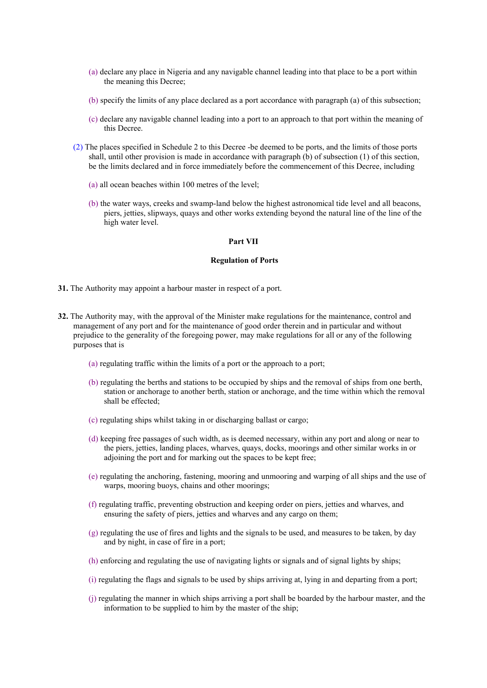- (a) declare any place in Nigeria and any navigable channel leading into that place to be a port within the meaning this Decree;
- (b) specify the limits of any place declared as a port accordance with paragraph (a) of this subsection;
- (c) declare any navigable channel leading into a port to an approach to that port within the meaning of this Decree.
- (2) The places specified in Schedule 2 to this Decree -be deemed to be ports, and the limits of those ports shall, until other provision is made in accordance with paragraph (b) of subsection (1) of this section, be the limits declared and in force immediately before the commencement of this Decree, including
	- (a) all ocean beaches within 100 metres of the level;
	- (b) the water ways, creeks and swamp-land below the highest astronomical tide level and all beacons, piers, jetties, slipways, quays and other works extending beyond the natural line of the line of the high water level.

#### **Part VII**

#### **Regulation of Ports**

- **31.** The Authority may appoint a harbour master in respect of a port.
- **32.** The Authority may, with the approval of the Minister make regulations for the maintenance, control and management of any port and for the maintenance of good order therein and in particular and without prejudice to the generality of the foregoing power, may make regulations for all or any of the following purposes that is
	- (a) regulating traffic within the limits of a port or the approach to a port;
	- (b) regulating the berths and stations to be occupied by ships and the removal of ships from one berth, station or anchorage to another berth, station or anchorage, and the time within which the removal shall be effected;
	- (c) regulating ships whilst taking in or discharging ballast or cargo;
	- (d) keeping free passages of such width, as is deemed necessary, within any port and along or near to the piers, jetties, landing places, wharves, quays, docks, moorings and other similar works in or adjoining the port and for marking out the spaces to be kept free;
	- (e) regulating the anchoring, fastening, mooring and unmooring and warping of all ships and the use of warps, mooring buoys, chains and other moorings;
	- (f) regulating traffic, preventing obstruction and keeping order on piers, jetties and wharves, and ensuring the safety of piers, jetties and wharves and any cargo on them;
	- (g) regulating the use of fires and lights and the signals to be used, and measures to be taken, by day and by night, in case of fire in a port;
	- (h) enforcing and regulating the use of navigating lights or signals and of signal lights by ships;
	- (i) regulating the flags and signals to be used by ships arriving at, lying in and departing from a port;
	- (j) regulating the manner in which ships arriving a port shall be boarded by the harbour master, and the information to be supplied to him by the master of the ship;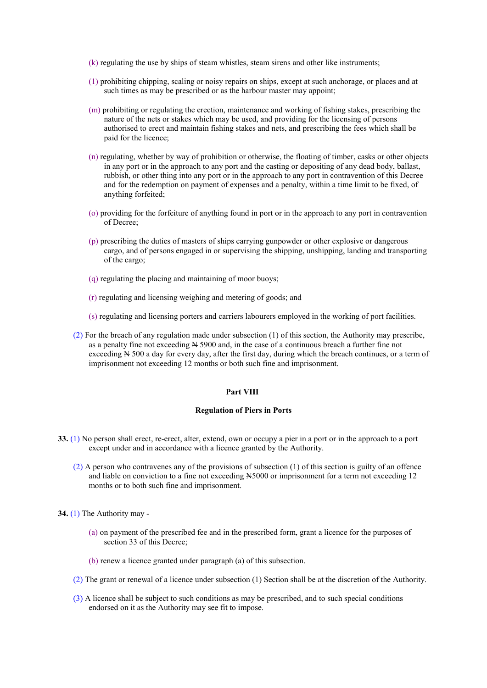- (k) regulating the use by ships of steam whistles, steam sirens and other like instruments;
- (1) prohibiting chipping, scaling or noisy repairs on ships, except at such anchorage, or places and at such times as may be prescribed or as the harbour master may appoint;
- (m) prohibiting or regulating the erection, maintenance and working of fishing stakes, prescribing the nature of the nets or stakes which may be used, and providing for the licensing of persons authorised to erect and maintain fishing stakes and nets, and prescribing the fees which shall be paid for the licence;
- (n) regulating, whether by way of prohibition or otherwise, the floating of timber, casks or other objects in any port or in the approach to any port and the casting or depositing of any dead body, ballast, rubbish, or other thing into any port or in the approach to any port in contravention of this Decree and for the redemption on payment of expenses and a penalty, within a time limit to be fixed, of anything forfeited;
- (o) providing for the forfeiture of anything found in port or in the approach to any port in contravention of Decree;
- (p) prescribing the duties of masters of ships carrying gunpowder or other explosive or dangerous cargo, and of persons engaged in or supervising the shipping, unshipping, landing and transporting of the cargo;
- (q) regulating the placing and maintaining of moor buoys;
- (r) regulating and licensing weighing and metering of goods; and
- (s) regulating and licensing porters and carriers labourers employed in the working of port facilities.
- (2) For the breach of any regulation made under subsection (1) of this section, the Authority may prescribe, as a penalty fine not exceeding N 5900 and, in the case of a continuous breach a further fine not exceeding N 500 a day for every day, after the first day, during which the breach continues, or a term of imprisonment not exceeding 12 months or both such fine and imprisonment.

#### **Part VIII**

### **Regulation of Piers in Ports**

- **33.** (1) No person shall erect, re-erect, alter, extend, own or occupy a pier in a port or in the approach to a port except under and in accordance with a licence granted by the Authority.
	- (2) A person who contravenes any of the provisions of subsection (1) of this section is guilty of an offence and liable on conviction to a fine not exceeding N5000 or imprisonment for a term not exceeding 12 months or to both such fine and imprisonment.

**34.** (1) The Authority may -

- (a) on payment of the prescribed fee and in the prescribed form, grant a licence for the purposes of section 33 of this Decree;
- (b) renew a licence granted under paragraph (a) of this subsection.
- (2) The grant or renewal of a licence under subsection (1) Section shall be at the discretion of the Authority.
- (3) A licence shall be subject to such conditions as may be prescribed, and to such special conditions endorsed on it as the Authority may see fit to impose.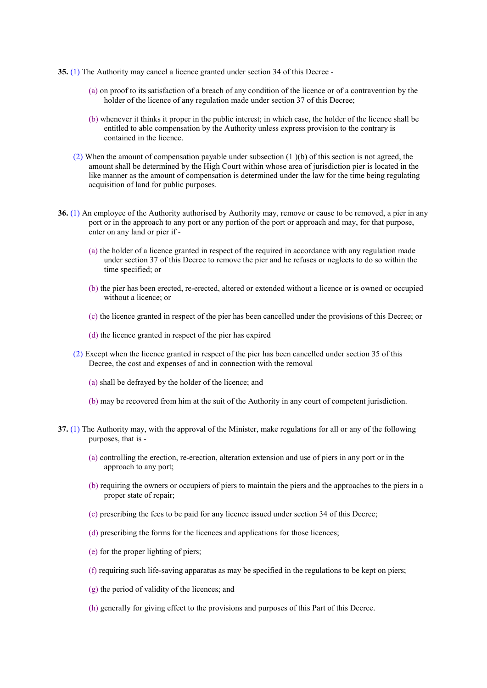- **35.** (1) The Authority may cancel a licence granted under section 34 of this Decree
	- (a) on proof to its satisfaction of a breach of any condition of the licence or of a contravention by the holder of the licence of any regulation made under section 37 of this Decree;
	- (b) whenever it thinks it proper in the public interest; in which case, the holder of the licence shall be entitled to able compensation by the Authority unless express provision to the contrary is contained in the licence.
	- (2) When the amount of compensation payable under subsection (1 )(b) of this section is not agreed, the amount shall be determined by the High Court within whose area of jurisdiction pier is located in the like manner as the amount of compensation is determined under the law for the time being regulating acquisition of land for public purposes.
- **36.** (1) An employee of the Authority authorised by Authority may, remove or cause to be removed, a pier in any port or in the approach to any port or any portion of the port or approach and may, for that purpose, enter on any land or pier if -
	- (a) the holder of a licence granted in respect of the required in accordance with any regulation made under section 37 of this Decree to remove the pier and he refuses or neglects to do so within the time specified; or
	- (b) the pier has been erected, re-erected, altered or extended without a licence or is owned or occupied without a licence; or
	- (c) the licence granted in respect of the pier has been cancelled under the provisions of this Decree; or
	- (d) the licence granted in respect of the pier has expired
	- (2) Except when the licence granted in respect of the pier has been cancelled under section 35 of this Decree, the cost and expenses of and in connection with the removal
		- (a) shall be defrayed by the holder of the licence; and
		- (b) may be recovered from him at the suit of the Authority in any court of competent jurisdiction.
- **37.** (1) The Authority may, with the approval of the Minister, make regulations for all or any of the following purposes, that is -
	- (a) controlling the erection, re-erection, alteration extension and use of piers in any port or in the approach to any port;
	- (b) requiring the owners or occupiers of piers to maintain the piers and the approaches to the piers in a proper state of repair;
	- (c) prescribing the fees to be paid for any licence issued under section 34 of this Decree;
	- (d) prescribing the forms for the licences and applications for those licences;
	- (e) for the proper lighting of piers;
	- (f) requiring such life-saving apparatus as may be specified in the regulations to be kept on piers;
	- (g) the period of validity of the licences; and
	- (h) generally for giving effect to the provisions and purposes of this Part of this Decree.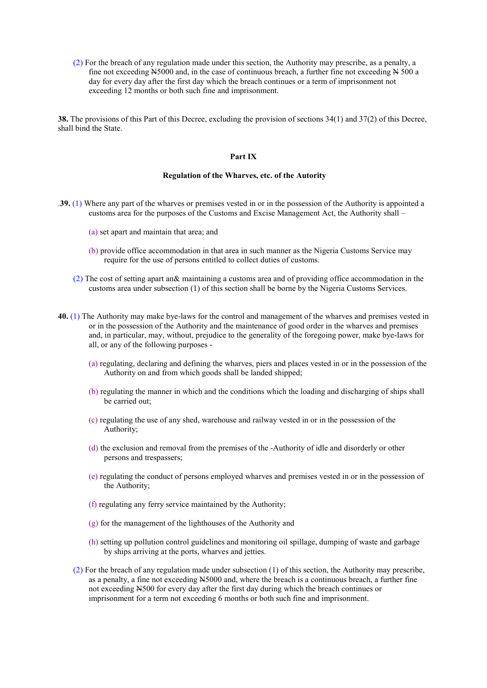(2) For the breach of any regulation made under this section, the Authority may prescribe, as a penalty, a fine not exceeding N5000 and, in the case of continuous breach, a further fine not exceeding N 500 a day for every day after the first day which the breach continues or a term of imprisonment not exceeding 12 months or both such fine and imprisonment.

**38.** The provisions of this Part of this Decree, excluding the provision of sections 34(1) and 37(2) of this Decree, shall bind the State.

## **Part IX**

### **Regulation of the Wharves, etc. of the Autority**

- .**39.** (1) Where any part of the wharves or premises vested in or in the possession of the Authority is appointed a customs area for the purposes of the Customs and Excise Management Act, the Authority shall –
	- (a) set apart and maintain that area; and
	- (b) provide office accommodation in that area in such manner as the Nigeria Customs Service may require for the use of persons entitled to collect duties of customs.
	- (2) The cost of setting apart an& maintaining a customs area and of providing office accommodation in the customs area under subsection (1) of this section shall be borne by the Nigeria Customs Services.
- **40.** (1) The Authority may make bye-laws for the control and management of the wharves and premises vested in or in the possession of the Authority and the maintenance of good order in the wharves and premises and, in particular, may, without, prejudice to the generality of the foregoing power, make bye-Iaws for all, or any of the following purposes -
	- (a) regulating, declaring and defining the wharves, piers and places vested in or in the possession of the Authority on and from which goods shall be landed shipped;
	- (b) regulating the manner in which and the conditions which the loading and discharging of ships shall be carried out;
	- (c) regulating the use of any shed, warehouse and railway vested in or in the possession of the Authority;
	- (d) the exclusion and removal from the premises of the -Authority of idle and disorderly or other persons and trespassers;
	- (e) regulating the conduct of persons employed wharves and premises vested in or in the possession of the Authority;
	- (f) regulating any ferry service maintained by the Authority;
	- (g) for the management of the lighthouses of the Authority and
	- (h) setting up pollution control guidelines and monitoring oil spillage, dumping of waste and garbage by ships arriving at the ports, wharves and jetties.
	- (2) For the breach of any regulation made under subsection (1) of this section, the Authority may prescribe, as a penalty, a fine not exceeding N5000 and, where the breach is a continuous breach, a further fine not exceeding N500 for every day after the first day during which the breach continues or imprisonment for a term not exceeding 6 months or both such fine and imprisonment.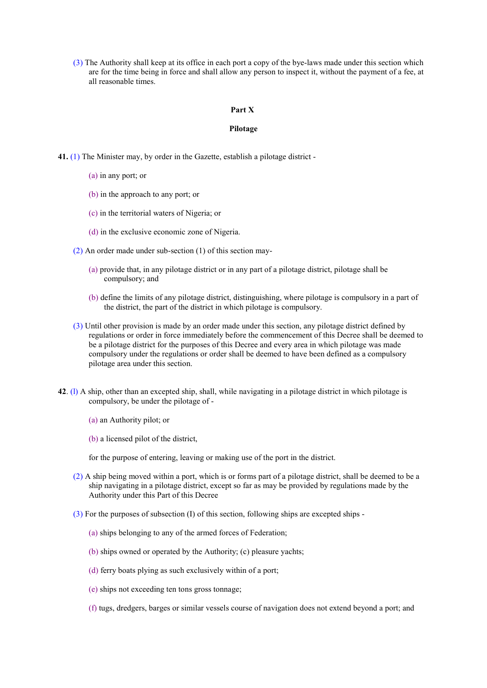(3) The Authority shall keep at its office in each port a copy of the bye-laws made under this section which are for the time being in force and shall allow any person to inspect it, without the payment of a fee, at all reasonable times.

#### **Part X**

#### **Pilotage**

- **41.** (1) The Minister may, by order in the Gazette, establish a pilotage district
	- (a) in any port; or
	- (b) in the approach to any port; or
	- (c) in the territorial waters of Nigeria; or
	- (d) in the exclusive economic zone of Nigeria.
	- (2) An order made under sub-section (1) of this section may-
		- (a) provide that, in any pilotage district or in any part of a pilotage district, pilotage shall be compulsory; and
		- (b) define the limits of any pilotage district, distinguishing, where pilotage is compulsory in a part of the district, the part of the district in which pilotage is compulsory.
	- (3) Until other provision is made by an order made under this section, any pilotage district defined by regulations or order in force immediately before the commencement of this Decree shall be deemed to be a pilotage district for the purposes of this Decree and every area in which pilotage was made compulsory under the regulations or order shall be deemed to have been defined as a compulsory pilotage area under this section.
- **42**. (l) A ship, other than an excepted ship, shall, while navigating in a pilotage district in which pilotage is compulsory, be under the pilotage of -
	- (a) an Authority pilot; or
	- (b) a licensed pilot of the district,

for the purpose of entering, leaving or making use of the port in the district.

- (2) A ship being moved within a port, which is or forms part of a pilotage district, shall be deemed to be a ship navigating in a pilotage district, except so far as may be provided by regulations made by the Authority under this Part of this Decree
- (3) For the purposes of subsection (I) of this section, following ships are excepted ships
	- (a) ships belonging to any of the armed forces of Federation;
	- (b) ships owned or operated by the Authority; (c) pleasure yachts;
	- (d) ferry boats plying as such exclusively within of a port;
	- (e) ships not exceeding ten tons gross tonnage;
	- (f) tugs, dredgers, barges or similar vessels course of navigation does not extend beyond a port; and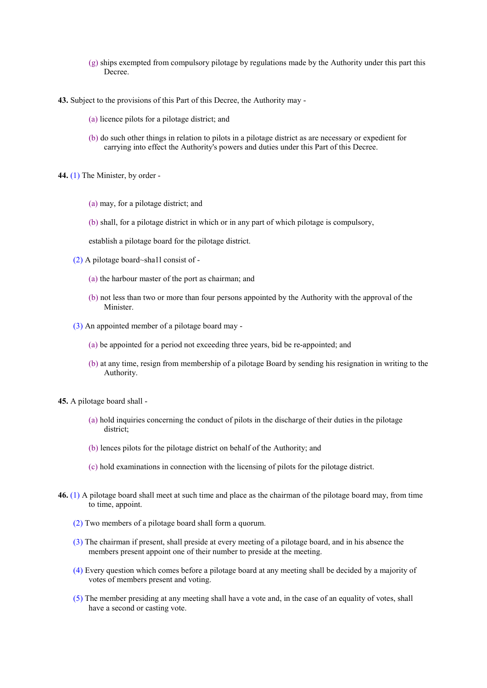- (g) ships exempted from compulsory pilotage by regulations made by the Authority under this part this Decree.
- **43.** Subject to the provisions of this Part of this Decree, the Authority may
	- (a) licence pilots for a pilotage district; and
	- (b) do such other things in relation to pilots in a pilotage district as are necessary or expedient for carrying into effect the Authority's powers and duties under this Part of this Decree.
- **44.** (1) The Minister, by order
	- (a) may, for a pilotage district; and
	- (b) shall, for a pilotage district in which or in any part of which pilotage is compulsory,

establish a pilotage board for the pilotage district.

- (2) A pilotage board~sha1l consist of
	- (a) the harbour master of the port as chairman; and
	- (b) not less than two or more than four persons appointed by the Authority with the approval of the Minister.
- (3) An appointed member of a pilotage board may
	- (a) be appointed for a period not exceeding three years, bid be re-appointed; and
	- (b) at any time, resign from membership of a pilotage Board by sending his resignation in writing to the Authority.
- **45.** A pilotage board shall
	- (a) hold inquiries concerning the conduct of pilots in the discharge of their duties in the pilotage district;
	- (b) lences pilots for the pilotage district on behalf of the Authority; and
	- (c) hold examinations in connection with the licensing of pilots for the pilotage district.
- **46.** (1) A pilotage board shall meet at such time and place as the chairman of the pilotage board may, from time to time, appoint.
	- (2) Two members of a pilotage board shall form a quorum.
	- (3) The chairman if present, shall preside at every meeting of a pilotage board, and in his absence the members present appoint one of their number to preside at the meeting.
	- (4) Every question which comes before a pilotage board at any meeting shall be decided by a majority of votes of members present and voting.
	- (5) The member presiding at any meeting shall have a vote and, in the case of an equality of votes, shall have a second or casting vote.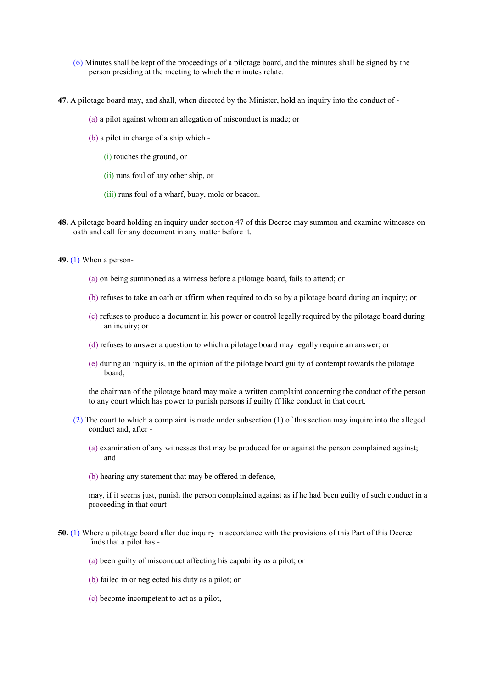- (6) Minutes shall be kept of the proceedings of a pilotage board, and the minutes shall be signed by the person presiding at the meeting to which the minutes relate.
- **47.** A pilotage board may, and shall, when directed by the Minister, hold an inquiry into the conduct of
	- (a) a pilot against whom an allegation of misconduct is made; or
	- (b) a pilot in charge of a ship which
		- (i) touches the ground, or
		- (ii) runs foul of any other ship, or
		- (iii) runs foul of a wharf, buoy, mole or beacon.
- **48.** A pilotage board holding an inquiry under section 47 of this Decree may summon and examine witnesses on oath and call for any document in any matter before it.
- **49.** (1) When a person-
	- (a) on being summoned as a witness before a pilotage board, fails to attend; or
	- (b) refuses to take an oath or affirm when required to do so by a pilotage board during an inquiry; or
	- (c) refuses to produce a document in his power or control legally required by the pilotage board during an inquiry; or
	- (d) refuses to answer a question to which a pilotage board may legally require an answer; or
	- (e) during an inquiry is, in the opinion of the pilotage board guilty of contempt towards the pilotage board,

the chairman of the pilotage board may make a written complaint concerning the conduct of the person to any court which has power to punish persons if guilty ff like conduct in that court.

- (2) The court to which a complaint is made under subsection (1) of this section may inquire into the alleged conduct and, after -
	- (a) examination of any witnesses that may be produced for or against the person complained against; and
	- (b) hearing any statement that may be offered in defence,

may, if it seems just, punish the person complained against as if he had been guilty of such conduct in a proceeding in that court

- **50.** (1) Where a pilotage board after due inquiry in accordance with the provisions of this Part of this Decree finds that a pilot has -
	- (a) been guilty of misconduct affecting his capability as a pilot; or
	- (b) failed in or neglected his duty as a pilot; or
	- (c) become incompetent to act as a pilot,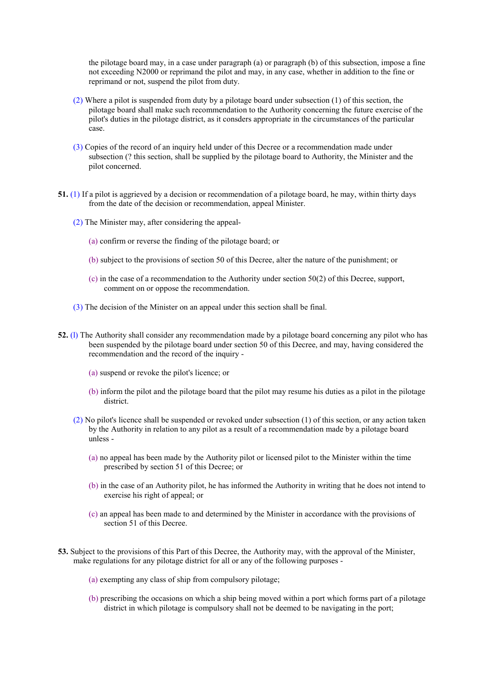the pilotage board may, in a case under paragraph (a) or paragraph (b) of this subsection, impose a fine not exceeding N2000 or reprimand the pilot and may, in any case, whether in addition to the fine or reprimand or not, suspend the pilot from duty.

- (2) Where a pilot is suspended from duty by a pilotage board under subsection (1) of this section, the pilotage board shall make such recommendation to the Authority concerning the future exercise of the pilot's duties in the pilotage district, as it consders appropriate in the circumstances of the particular case.
- (3) Copies of the record of an inquiry held under of this Decree or a recommendation made under subsection (? this section, shall be supplied by the pilotage board to Authority, the Minister and the pilot concerned.
- **51.** (1) If a pilot is aggrieved by a decision or recommendation of a pilotage board, he may, within thirty days from the date of the decision or recommendation, appeal Minister.
	- (2) The Minister may, after considering the appeal-
		- (a) confirm or reverse the finding of the pilotage board; or
		- (b) subject to the provisions of section 50 of this Decree, alter the nature of the punishment; or
		- (c) in the case of a recommendation to the Authority under section 50(2) of this Decree, support, comment on or oppose the recommendation.
	- (3) The decision of the Minister on an appeal under this section shall be final.
- **52.** (l) The Authority shall consider any recommendation made by a pilotage board concerning any pilot who has been suspended by the pilotage board under section 50 of this Decree, and may, having considered the recommendation and the record of the inquiry -
	- (a) suspend or revoke the pilot's licence; or
	- (b) inform the pilot and the pilotage board that the pilot may resume his duties as a pilot in the pilotage district.
	- (2) No pilot's licence shall be suspended or revoked under subsection (1) of this section, or any action taken by the Authority in relation to any pilot as a result of a recommendation made by a pilotage board unless -
		- (a) no appeal has been made by the Authority pilot or licensed pilot to the Minister within the time prescribed by section 51 of this Decree; or
		- (b) in the case of an Authority pilot, he has informed the Authority in writing that he does not intend to exercise his right of appeal; or
		- (c) an appeal has been made to and determined by the Minister in accordance with the provisions of section 51 of this Decree.
- **53.** Subject to the provisions of this Part of this Decree, the Authority may, with the approval of the Minister, make regulations for any pilotage district for all or any of the following purposes -
	- (a) exempting any class of ship from compulsory pilotage;
	- (b) prescribing the occasions on which a ship being moved within a port which forms part of a pilotage district in which pilotage is compulsory shall not be deemed to be navigating in the port;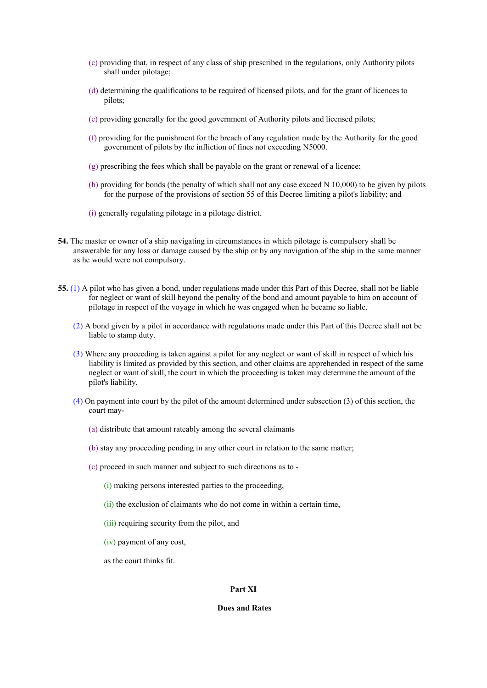- (c) providing that, in respect of any class of ship prescribed in the regulations, only Authority pilots shall under pilotage;
- (d) determining the qualifications to be required of licensed pilots, and for the grant of licences to pilots;
- (e) providing generally for the good government of Authority pilots and licensed pilots;
- (f) providing for the punishment for the breach of any regulation made by the Authority for the good government of pilots by the infliction of fines not exceeding N5000.
- (g) prescribing the fees which shall be payable on the grant or renewal of a licence;
- (h) providing for bonds (the penalty of which shall not any case exceed N 10,000) to be given by pilots for the purpose of the provisions of section 55 of this Decree limiting a pilot's liability; and
- (i) generally regulating pilotage in a pilotage district.
- **54.** The master or owner of a ship navigating in circumstances in which pilotage is compulsory shall be answerable for any loss or damage caused by the ship or by any navigation of the ship in the same manner as he would were not compulsory.
- **55.** (1) A pilot who has given a bond, under regulations made under this Part of this Decree, shall not be liable for neglect or want of skill beyond the penalty of the bond and amount payable to him on account of pilotage in respect of the voyage in which he was engaged when he became so liable.
	- (2) A bond given by a pilot in accordance with regulations made under this Part of this Decree shall not be liable to stamp duty.
	- (3) Where any proceeding is taken against a pilot for any neglect or want of skill in respect of which his liability is limited as provided by this section, and other claims are apprehended in respect of the same neglect or want of skill, the court in which the proceeding is taken may determine the amount of the pilot's liability.
	- (4) On payment into court by the pilot of the amount determined under subsection (3) of this section, the court may-
		- (a) distribute that amount rateably among the several claimants
		- (b) stay any proceeding pending in any other court in relation to the same matter;
		- (c) proceed in such manner and subject to such directions as to
			- (i) making persons interested parties to the proceeding,
			- (ii) the exclusion of claimants who do not come in within a certain time,
			- (iii) requiring security from the pilot, and
			- (iv) payment of any cost,

as the court thinks fit.

#### **Part XI**

### **Dues and Rates**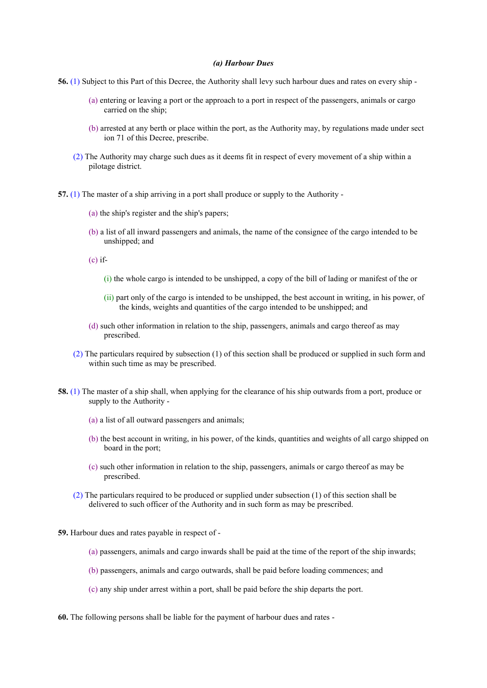#### *(a) Harbour Dues*

- **56.** (1) Subject to this Part of this Decree, the Authority shall levy such harbour dues and rates on every ship
	- (a) entering or leaving a port or the approach to a port in respect of the passengers, animals or cargo carried on the ship;
	- (b) arrested at any berth or place within the port, as the Authority may, by regulations made under sect ion 71 of this Decree, prescribe.
	- (2) The Authority may charge such dues as it deems fit in respect of every movement of a ship within a pilotage district.
- **57.** (1) The master of a ship arriving in a port shall produce or supply to the Authority
	- (a) the ship's register and the ship's papers;
	- (b) a list of all inward passengers and animals, the name of the consignee of the cargo intended to be unshipped; and
	- $(c)$  if-
		- (i) the whole cargo is intended to be unshipped, a copy of the bill of lading or manifest of the or
		- (ii) part only of the cargo is intended to be unshipped, the best account in writing, in his power, of the kinds, weights and quantities of the cargo intended to be unshipped; and
	- (d) such other information in relation to the ship, passengers, animals and cargo thereof as may prescribed.
	- (2) The particulars required by subsection (1) of this section shall be produced or supplied in such form and within such time as may be prescribed.
- **58.** (1) The master of a ship shall, when applying for the clearance of his ship outwards from a port, produce or supply to the Authority -
	- (a) a list of all outward passengers and animals;
	- (b) the best account in writing, in his power, of the kinds, quantities and weights of all cargo shipped on board in the port;
	- (c) such other information in relation to the ship, passengers, animals or cargo thereof as may be prescribed.
	- (2) The particulars required to be produced or supplied under subsection (1) of this section shall be delivered to such officer of the Authority and in such form as may be prescribed.
- **59.** Harbour dues and rates payable in respect of
	- (a) passengers, animals and cargo inwards shall be paid at the time of the report of the ship inwards;
	- (b) passengers, animals and cargo outwards, shall be paid before loading commences; and
	- (c) any ship under arrest within a port, shall be paid before the ship departs the port.
- **60.** The following persons shall be liable for the payment of harbour dues and rates -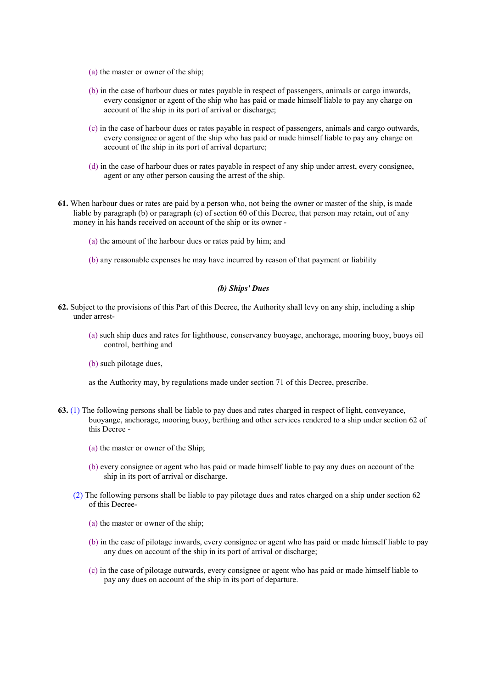- (a) the master or owner of the ship;
- (b) in the case of harbour dues or rates payable in respect of passengers, animals or cargo inwards, every consignor or agent of the ship who has paid or made himself liable to pay any charge on account of the ship in its port of arrival or discharge;
- (c) in the case of harbour dues or rates payable in respect of passengers, animals and cargo outwards, every consignee or agent of the ship who has paid or made himself liable to pay any charge on account of the ship in its port of arrival departure;
- (d) in the case of harbour dues or rates payable in respect of any ship under arrest, every consignee, agent or any other person causing the arrest of the ship.
- **61.** When harbour dues or rates are paid by a person who, not being the owner or master of the ship, is made liable by paragraph (b) or paragraph (c) of section 60 of this Decree, that person may retain, out of any money in his hands received on account of the ship or its owner -
	- (a) the amount of the harbour dues or rates paid by him; and
	- (b) any reasonable expenses he may have incurred by reason of that payment or liability

### *(b) Ships' Dues*

- **62.** Subject to the provisions of this Part of this Decree, the Authority shall levy on any ship, including a ship under arrest-
	- (a) such ship dues and rates for lighthouse, conservancy buoyage, anchorage, mooring buoy, buoys oil control, berthing and
	- (b) such pilotage dues,

as the Authority may, by regulations made under section 71 of this Decree, prescribe.

- **63.** (1) The following persons shall be liable to pay dues and rates charged in respect of light, conveyance, buoyange, anchorage, mooring buoy, berthing and other services rendered to a ship under section 62 of this Decree -
	- (a) the master or owner of the Ship;
	- (b) every consignee or agent who has paid or made himself liable to pay any dues on account of the ship in its port of arrival or discharge.
	- (2) The following persons shall be liable to pay pilotage dues and rates charged on a ship under section 62 of this Decree-
		- (a) the master or owner of the ship;
		- (b) in the case of pilotage inwards, every consignee or agent who has paid or made himself liable to pay any dues on account of the ship in its port of arrival or discharge;
		- (c) in the case of pilotage outwards, every consignee or agent who has paid or made himself liable to pay any dues on account of the ship in its port of departure.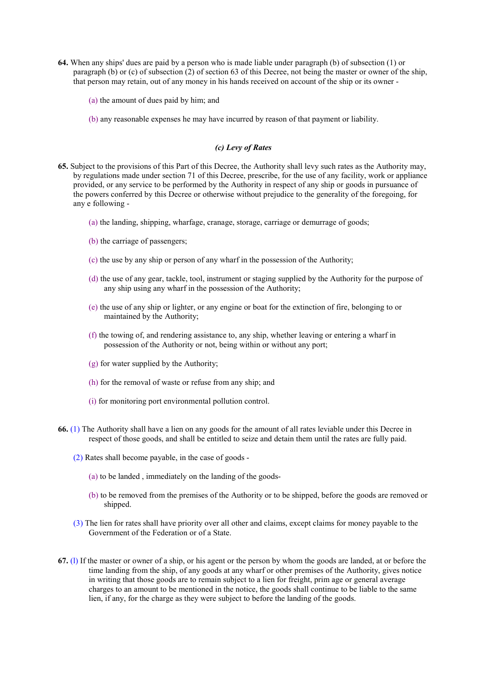- **64.** When any ships' dues are paid by a person who is made liable under paragraph (b) of subsection (1) or paragraph (b) or (c) of subsection (2) of section 63 of this Decree, not being the master or owner of the ship, that person may retain, out of any money in his hands received on account of the ship or its owner -
	- (a) the amount of dues paid by him; and
	- (b) any reasonable expenses he may have incurred by reason of that payment or liability.

## *(c) Levy of Rates*

- **65.** Subject to the provisions of this Part of this Decree, the Authority shall levy such rates as the Authority may, by regulations made under section 71 of this Decree, prescribe, for the use of any facility, work or appliance provided, or any service to be performed by the Authority in respect of any ship or goods in pursuance of the powers conferred by this Decree or otherwise without prejudice to the generality of the foregoing, for any e following -
	- (a) the landing, shipping, wharfage, cranage, storage, carriage or demurrage of goods;
	- (b) the carriage of passengers;
	- (c) the use by any ship or person of any wharf in the possession of the Authority;
	- (d) the use of any gear, tackle, tool, instrument or staging supplied by the Authority for the purpose of any ship using any wharf in the possession of the Authority;
	- (e) the use of any ship or lighter, or any engine or boat for the extinction of fire, belonging to or maintained by the Authority;
	- (f) the towing of, and rendering assistance to, any ship, whether leaving or entering a wharf in possession of the Authority or not, being within or without any port;
	- (g) for water supplied by the Authority;
	- (h) for the removal of waste or refuse from any ship; and
	- (i) for monitoring port environmental pollution control.
- **66.** (1) The Authority shall have a lien on any goods for the amount of all rates leviable under this Decree in respect of those goods, and shall be entitled to seize and detain them until the rates are fully paid.
	- (2) Rates shall become payable, in the case of goods
		- (a) to be landed , immediately on the landing of the goods-
		- (b) to be removed from the premises of the Authority or to be shipped, before the goods are removed or shipped.
	- (3) The lien for rates shall have priority over all other and claims, except claims for money payable to the Government of the Federation or of a State.
- **67.** (l) If the master or owner of a ship, or his agent or the person by whom the goods are landed, at or before the time landing from the ship, of any goods at any wharf or other premises of the Authority, gives notice in writing that those goods are to remain subject to a lien for freight, prim age or general average charges to an amount to be mentioned in the notice, the goods shall continue to be liable to the same lien, if any, for the charge as they were subject to before the landing of the goods.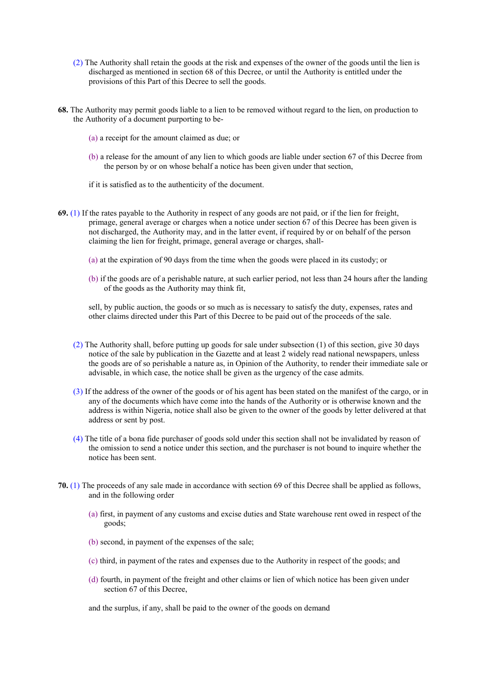- (2) The Authority shall retain the goods at the risk and expenses of the owner of the goods until the lien is discharged as mentioned in section 68 of this Decree, or until the Authority is entitled under the provisions of this Part of this Decree to sell the goods.
- **68.** The Authority may permit goods liable to a lien to be removed without regard to the lien, on production to the Authority of a document purporting to be-
	- (a) a receipt for the amount claimed as due; or
	- (b) a release for the amount of any lien to which goods are liable under section 67 of this Decree from the person by or on whose behalf a notice has been given under that section,
	- if it is satisfied as to the authenticity of the document.
- **69.** (1) If the rates payable to the Authority in respect of any goods are not paid, or if the lien for freight, primage, general average or charges when a notice under section 67 of this Decree has been given is not discharged, the Authority may, and in the latter event, if required by or on behalf of the person claiming the lien for freight, primage, general average or charges, shall-
	- (a) at the expiration of 90 days from the time when the goods were placed in its custody; or
	- (b) if the goods are of a perishable nature, at such earlier period, not less than 24 hours after the landing of the goods as the Authority may think fit,
	- sell, by public auction, the goods or so much as is necessary to satisfy the duty, expenses, rates and other claims directed under this Part of this Decree to be paid out of the proceeds of the sale.
	- (2) The Authority shall, before putting up goods for sale under subsection (1) of this section, give 30 days notice of the sale by publication in the Gazette and at least 2 widely read national newspapers, unless the goods are of so perishable a nature as, in Opinion of the Authority, to render their immediate sale or advisable, in which case, the notice shall be given as the urgency of the case admits.
	- (3) If the address of the owner of the goods or of his agent has been stated on the manifest of the cargo, or in any of the documents which have come into the hands of the Authority or is otherwise known and the address is within Nigeria, notice shall also be given to the owner of the goods by letter delivered at that address or sent by post.
	- (4) The title of a bona fide purchaser of goods sold under this section shall not be invalidated by reason of the omission to send a notice under this section, and the purchaser is not bound to inquire whether the notice has been sent.
- **70.** (1) The proceeds of any sale made in accordance with section 69 of this Decree shall be applied as follows, and in the following order
	- (a) first, in payment of any customs and excise duties and State warehouse rent owed in respect of the goods;
	- (b) second, in payment of the expenses of the sale;
	- (c) third, in payment of the rates and expenses due to the Authority in respect of the goods; and
	- (d) fourth, in payment of the freight and other claims or lien of which notice has been given under section 67 of this Decree,

and the surplus, if any, shall be paid to the owner of the goods on demand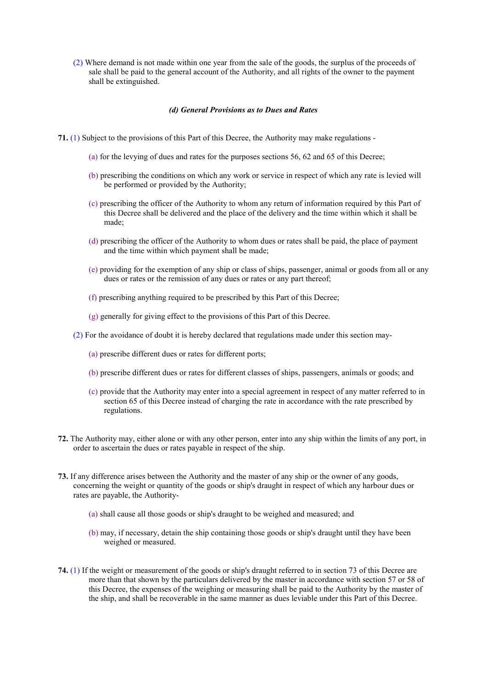(2) Where demand is not made within one year from the sale of the goods, the surplus of the proceeds of sale shall be paid to the general account of the Authority, and all rights of the owner to the payment shall be extinguished.

### *(d) General Provisions as to Dues and Rates*

- **71.** (1) Subject to the provisions of this Part of this Decree, the Authority may make regulations
	- (a) for the levying of dues and rates for the purposes sections 56, 62 and 65 of this Decree;
	- (b) prescribing the conditions on which any work or service in respect of which any rate is levied will be performed or provided by the Authority;
	- (c) prescribing the officer of the Authority to whom any return of information required by this Part of this Decree shall be delivered and the place of the delivery and the time within which it shall be made;
	- (d) prescribing the officer of the Authority to whom dues or rates shall be paid, the place of payment and the time within which payment shall be made;
	- (e) providing for the exemption of any ship or class of ships, passenger, animal or goods from all or any dues or rates or the remission of any dues or rates or any part thereof;
	- (f) prescribing anything required to be prescribed by this Part of this Decree;
	- (g) generally for giving effect to the provisions of this Part of this Decree.
	- (2) For the avoidance of doubt it is hereby declared that regulations made under this section may-
		- (a) prescribe different dues or rates for different ports;
		- (b) prescribe different dues or rates for different classes of ships, passengers, animals or goods; and
		- (c) provide that the Authority may enter into a special agreement in respect of any matter referred to in section 65 of this Decree instead of charging the rate in accordance with the rate prescribed by regulations.
- **72.** The Authority may, either alone or with any other person, enter into any ship within the limits of any port, in order to ascertain the dues or rates payable in respect of the ship.
- **73.** If any difference arises between the Authority and the master of any ship or the owner of any goods, concerning the weight or quantity of the goods or ship's draught in respect of which any harbour dues or rates are payable, the Authority-
	- (a) shall cause all those goods or ship's draught to be weighed and measured; and
	- (b) may, if necessary, detain the ship containing those goods or ship's draught until they have been weighed or measured.
- **74.** (1) If the weight or measurement of the goods or ship's draught referred to in section 73 of this Decree are more than that shown by the particulars delivered by the master in accordance with section 57 or 58 of this Decree, the expenses of the weighing or measuring shall be paid to the Authority by the master of the ship, and shall be recoverable in the same manner as dues leviable under this Part of this Decree.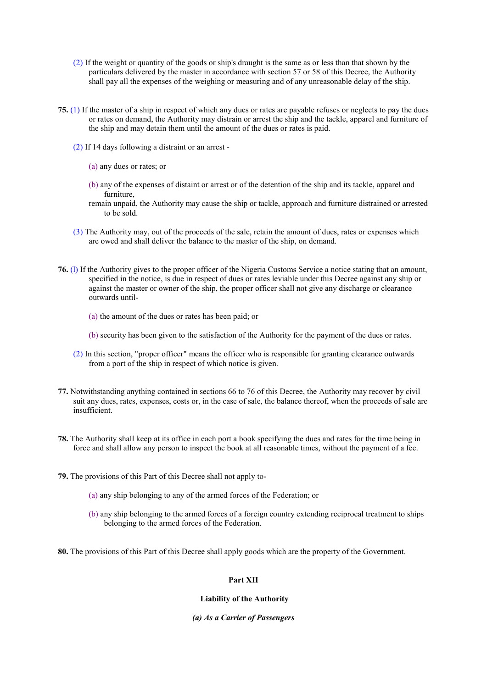- (2) If the weight or quantity of the goods or ship's draught is the same as or less than that shown by the particulars delivered by the master in accordance with section 57 or 58 of this Decree, the Authority shall pay all the expenses of the weighing or measuring and of any unreasonable delay of the ship.
- **75.** (1) If the master of a ship in respect of which any dues or rates are payable refuses or neglects to pay the dues or rates on demand, the Authority may distrain or arrest the ship and the tackle, apparel and furniture of the ship and may detain them until the amount of the dues or rates is paid.
	- (2) If 14 days following a distraint or an arrest
		- (a) any dues or rates; or
		- (b) any of the expenses of distaint or arrest or of the detention of the ship and its tackle, apparel and furniture,
		- remain unpaid, the Authority may cause the ship or tackle, approach and furniture distrained or arrested to be sold.
	- (3) The Authority may, out of the proceeds of the sale, retain the amount of dues, rates or expenses which are owed and shall deliver the balance to the master of the ship, on demand.
- **76.** (l) If the Authority gives to the proper officer of the Nigeria Customs Service a notice stating that an amount, specified in the notice, is due in respect of dues or rates leviable under this Decree against any ship or against the master or owner of the ship, the proper officer shall not give any discharge or clearance outwards until-
	- (a) the amount of the dues or rates has been paid; or
	- (b) security has been given to the satisfaction of the Authority for the payment of the dues or rates.
	- (2) In this section, "proper officer" means the officer who is responsible for granting clearance outwards from a port of the ship in respect of which notice is given.
- **77.** Notwithstanding anything contained in sections 66 to 76 of this Decree, the Authority may recover by civil suit any dues, rates, expenses, costs or, in the case of sale, the balance thereof, when the proceeds of sale are insufficient.
- **78.** The Authority shall keep at its office in each port a book specifying the dues and rates for the time being in force and shall allow any person to inspect the book at all reasonable times, without the payment of a fee.
- **79.** The provisions of this Part of this Decree shall not apply to-
	- (a) any ship belonging to any of the armed forces of the Federation; or
	- (b) any ship belonging to the armed forces of a foreign country extending reciprocal treatment to ships belonging to the armed forces of the Federation.
- **80.** The provisions of this Part of this Decree shall apply goods which are the property of the Government.

#### **Part XII**

## **Liability of the Authority**

#### *(a) As a Carrier of Passengers*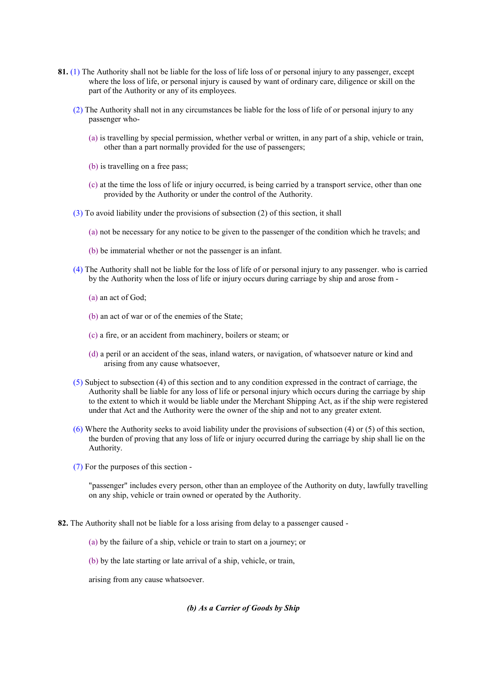- **81.** (1) The Authority shall not be liable for the loss of life loss of or personal injury to any passenger, except where the loss of life, or personal injury is caused by want of ordinary care, diligence or skill on the part of the Authority or any of its employees.
	- (2) The Authority shall not in any circumstances be liable for the loss of life of or personal injury to any passenger who-
		- (a) is travelling by special permission, whether verbal or written, in any part of a ship, vehicle or train, other than a part normally provided for the use of passengers;
		- (b) is travelling on a free pass;
		- (c) at the time the loss of life or injury occurred, is being carried by a transport service, other than one provided by the Authority or under the control of the Authority.
	- (3) To avoid liability under the provisions of subsection (2) of this section, it shall
		- (a) not be necessary for any notice to be given to the passenger of the condition which he travels; and
		- (b) be immaterial whether or not the passenger is an infant.
	- (4) The Authority shall not be liable for the loss of life of or personal injury to any passenger. who is carried by the Authority when the loss of life or injury occurs during carriage by ship and arose from -
		- (a) an act of God;
		- (b) an act of war or of the enemies of the State;
		- (c) a fire, or an accident from machinery, boilers or steam; or
		- (d) a peril or an accident of the seas, inland waters, or navigation, of whatsoever nature or kind and arising from any cause whatsoever,
	- (5) Subject to subsection (4) of this section and to any condition expressed in the contract of carriage, the Authority shall be liable for any loss of life or personal injury which occurs during the carriage by ship to the extent to which it would be liable under the Merchant Shipping Act, as if the ship were registered under that Act and the Authority were the owner of the ship and not to any greater extent.
	- (6) Where the Authority seeks to avoid liability under the provisions of subsection (4) or (5) of this section, the burden of proving that any loss of life or injury occurred during the carriage by ship shall lie on the Authority.
	- (7) For the purposes of this section -

"passenger" includes every person, other than an employee of the Authority on duty, lawfully travelling on any ship, vehicle or train owned or operated by the Authority.

**82.** The Authority shall not be liable for a loss arising from delay to a passenger caused -

- (a) by the failure of a ship, vehicle or train to start on a journey; or
- (b) by the late starting or late arrival of a ship, vehicle, or train,

arising from any cause whatsoever.

## *(b) As a Carrier of Goods by Ship*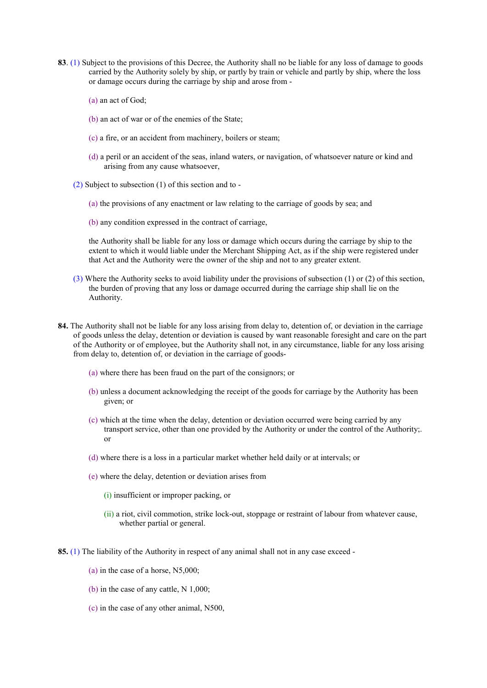- **83**. (1) Subject to the provisions of this Decree, the Authority shall no be liable for any loss of damage to goods carried by the Authority solely by ship, or partly by train or vehicle and partly by ship, where the loss or damage occurs during the carriage by ship and arose from -
	- (a) an act of God;
	- (b) an act of war or of the enemies of the State;
	- (c) a fire, or an accident from machinery, boilers or steam;
	- (d) a peril or an accident of the seas, inland waters, or navigation, of whatsoever nature or kind and arising from any cause whatsoever,
	- (2) Subject to subsection (1) of this section and to
		- (a) the provisions of any enactment or law relating to the carriage of goods by sea; and
		- (b) any condition expressed in the contract of carriage,

the Authority shall be liable for any loss or damage which occurs during the carriage by ship to the extent to which it would liable under the Merchant Shipping Act, as if the ship were registered under that Act and the Authority were the owner of the ship and not to any greater extent.

- (3) Where the Authority seeks to avoid liability under the provisions of subsection (1) or (2) of this section, the burden of proving that any loss or damage occurred during the carriage ship shall lie on the Authority.
- **84.** The Authority shall not be liable for any loss arising from delay to, detention of, or deviation in the carriage of goods unless the delay, detention or deviation is caused by want reasonable foresight and care on the part of the Authority or of employee, but the Authority shall not, in any circumstance, liable for any loss arising from delay to, detention of, or deviation in the carriage of goods-
	- (a) where there has been fraud on the part of the consignors; or
	- (b) unless a document acknowledging the receipt of the goods for carriage by the Authority has been given; or
	- (c) which at the time when the delay, detention or deviation occurred were being carried by any transport service, other than one provided by the Authority or under the control of the Authority;. or
	- (d) where there is a loss in a particular market whether held daily or at intervals; or
	- (e) where the delay, detention or deviation arises from
		- (i) insufficient or improper packing, or
		- (ii) a riot, civil commotion, strike lock-out, stoppage or restraint of labour from whatever cause, whether partial or general.
- **85.** (1) The liability of the Authority in respect of any animal shall not in any case exceed
	- (a) in the case of a horse, N5,000;
	- (b) in the case of any cattle, N 1,000;
	- (c) in the case of any other animal, N500,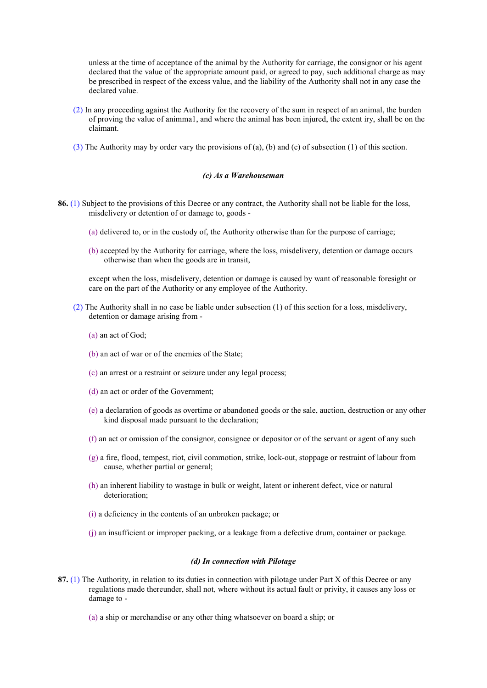unless at the time of acceptance of the animal by the Authority for carriage, the consignor or his agent declared that the value of the appropriate amount paid, or agreed to pay, such additional charge as may be prescribed in respect of the excess value, and the liability of the Authority shall not in any case the declared value.

- (2) In any proceeding against the Authority for the recovery of the sum in respect of an animal, the burden of proving the value of animma1, and where the animal has been injured, the extent iry, shall be on the claimant.
- (3) The Authority may by order vary the provisions of (a), (b) and (c) of subsection (1) of this section.

#### *(c) As a Warehouseman*

- **86.** (1) Subject to the provisions of this Decree or any contract, the Authority shall not be liable for the loss, misdelivery or detention of or damage to, goods -
	- (a) delivered to, or in the custody of, the Authority otherwise than for the purpose of carriage;
	- (b) accepted by the Authority for carriage, where the loss, misdelivery, detention or damage occurs otherwise than when the goods are in transit,

except when the loss, misdelivery, detention or damage is caused by want of reasonable foresight or care on the part of the Authority or any employee of the Authority.

- (2) The Authority shall in no case be liable under subsection (1) of this section for a loss, misdelivery, detention or damage arising from -
	- (a) an act of God;
	- (b) an act of war or of the enemies of the State;
	- (c) an arrest or a restraint or seizure under any legal process;
	- (d) an act or order of the Government;
	- (e) a declaration of goods as overtime or abandoned goods or the sale, auction, destruction or any other kind disposal made pursuant to the declaration;
	- (f) an act or omission of the consignor, consignee or depositor or of the servant or agent of any such
	- (g) a fire, flood, tempest, riot, civil commotion, strike, lock-out, stoppage or restraint of labour from cause, whether partial or general;
	- (h) an inherent liability to wastage in bulk or weight, latent or inherent defect, vice or natural deterioration;
	- (i) a deficiency in the contents of an unbroken package; or
	- (j) an insufficient or improper packing, or a leakage from a defective drum, container or package.

#### *(d) In connection with Pilotage*

- **87.** (1) The Authority, in relation to its duties in connection with pilotage under Part X of this Decree or any regulations made thereunder, shall not, where without its actual fault or privity, it causes any loss or damage to -
	- (a) a ship or merchandise or any other thing whatsoever on board a ship; or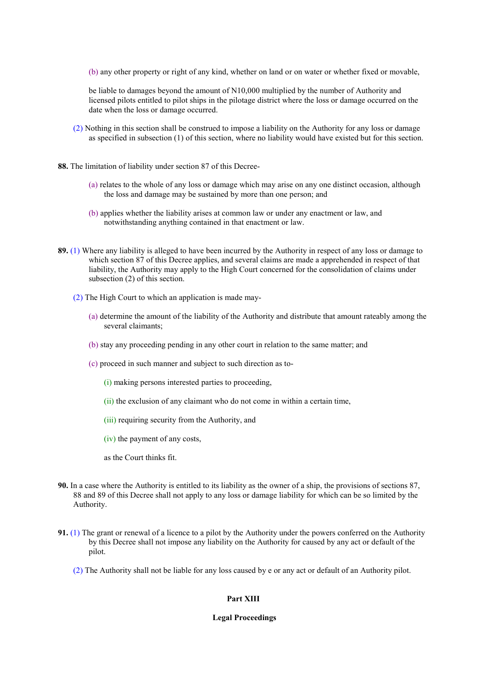(b) any other property or right of any kind, whether on land or on water or whether fixed or movable,

be liable to damages beyond the amount of N10,000 multiplied by the number of Authority and licensed pilots entitled to pilot ships in the pilotage district where the loss or damage occurred on the date when the loss or damage occurred.

- (2) Nothing in this section shall be construed to impose a liability on the Authority for any loss or damage as specified in subsection (1) of this section, where no liability would have existed but for this section.
- **88.** The limitation of liability under section 87 of this Decree-
	- (a) relates to the whole of any loss or damage which may arise on any one distinct occasion, although the loss and damage may be sustained by more than one person; and
	- (b) applies whether the liability arises at common law or under any enactment or law, and notwithstanding anything contained in that enactment or law.
- **89.** (1) Where any liability is alleged to have been incurred by the Authority in respect of any loss or damage to which section 87 of this Decree applies, and several claims are made a apprehended in respect of that liability, the Authority may apply to the High Court concerned for the consolidation of claims under subsection (2) of this section.
	- (2) The High Court to which an application is made may-
		- (a) determine the amount of the liability of the Authority and distribute that amount rateably among the several claimants;
		- (b) stay any proceeding pending in any other court in relation to the same matter; and
		- (c) proceed in such manner and subject to such direction as to-
			- (i) making persons interested parties to proceeding,
			- (ii) the exclusion of any claimant who do not come in within a certain time,
			- (iii) requiring security from the Authority, and
			- (iv) the payment of any costs,

as the Court thinks fit.

- **90.** In a case where the Authority is entitled to its liability as the owner of a ship, the provisions of sections 87, 88 and 89 of this Decree shall not apply to any loss or damage liability for which can be so limited by the Authority.
- **91.** (1) The grant or renewal of a licence to a pilot by the Authority under the powers conferred on the Authority by this Decree shall not impose any liability on the Authority for caused by any act or default of the pilot.
	- (2) The Authority shall not be liable for any loss caused by e or any act or default of an Authority pilot.

## **Part XIII**

#### **Legal Proceedings**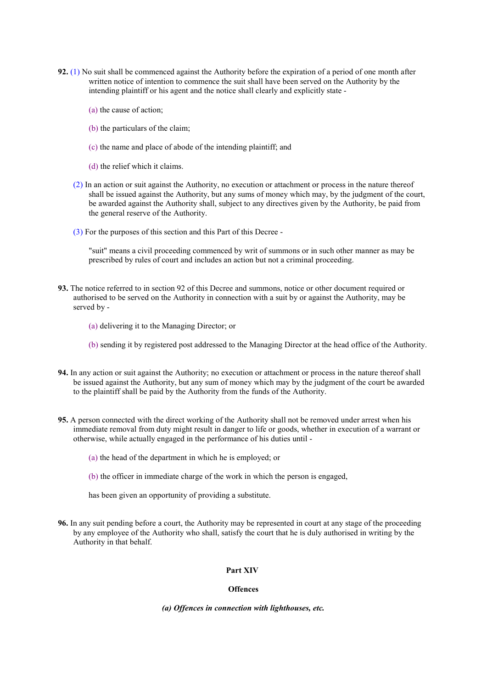- **92.** (1) No suit shall be commenced against the Authority before the expiration of a period of one month after written notice of intention to commence the suit shall have been served on the Authority by the intending plaintiff or his agent and the notice shall clearly and explicitly state -
	- (a) the cause of action;
	- (b) the particulars of the claim;
	- (c) the name and place of abode of the intending plaintiff; and
	- (d) the relief which it claims.
	- (2) In an action or suit against the Authority, no execution or attachment or process in the nature thereof shall be issued against the Authority, but any sums of money which may, by the judgment of the court, be awarded against the Authority shall, subject to any directives given by the Authority, be paid from the general reserve of the Authority.
	- (3) For the purposes of this section and this Part of this Decree -

"suit" means a civil proceeding commenced by writ of summons or in such other manner as may be prescribed by rules of court and includes an action but not a criminal proceeding.

- **93.** The notice referred to in section 92 of this Decree and summons, notice or other document required or authorised to be served on the Authority in connection with a suit by or against the Authority, may be served by -
	- (a) delivering it to the Managing Director; or

(b) sending it by registered post addressed to the Managing Director at the head office of the Authority.

- **94.** In any action or suit against the Authority; no execution or attachment or process in the nature thereof shall be issued against the Authority, but any sum of money which may by the judgment of the court be awarded to the plaintiff shall be paid by the Authority from the funds of the Authority.
- **95.** A person connected with the direct working of the Authority shall not be removed under arrest when his immediate removal from duty might result in danger to life or goods, whether in execution of a warrant or otherwise, while actually engaged in the performance of his duties until -
	- (a) the head of the department in which he is employed; or
	- (b) the officer in immediate charge of the work in which the person is engaged,

has been given an opportunity of providing a substitute.

**96.** In any suit pending before a court, the Authority may be represented in court at any stage of the proceeding by any employee of the Authority who shall, satisfy the court that he is duly authorised in writing by the Authority in that behalf.

## **Part XIV**

### **Offences**

#### *(a) Offences in connection with lighthouses, etc.*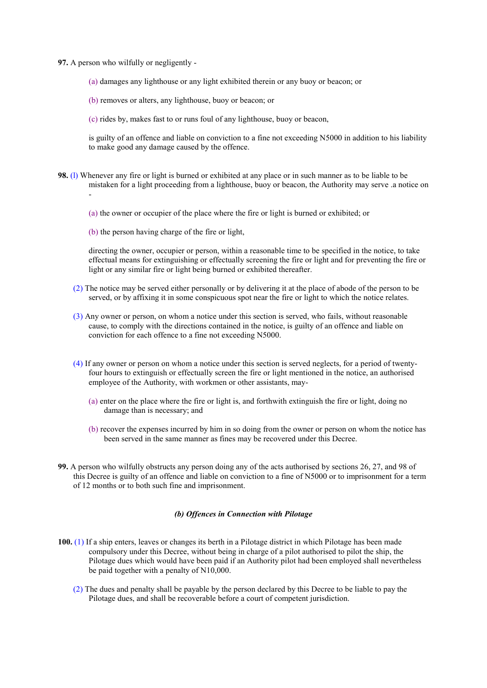**97.** A person who wilfully or negligently -

(a) damages any lighthouse or any light exhibited therein or any buoy or beacon; or

(b) removes or alters, any lighthouse, buoy or beacon; or

(c) rides by, makes fast to or runs foul of any lighthouse, buoy or beacon,

is guilty of an offence and liable on conviction to a fine not exceeding N5000 in addition to his liability to make good any damage caused by the offence.

**98.** (l) Whenever any fire or light is burned or exhibited at any place or in such manner as to be liable to be mistaken for a light proceeding from a lighthouse, buoy or beacon, the Authority may serve .a notice on -

(a) the owner or occupier of the place where the fire or light is burned or exhibited; or

(b) the person having charge of the fire or light,

directing the owner, occupier or person, within a reasonable time to be specified in the notice, to take effectual means for extinguishing or effectually screening the fire or light and for preventing the fire or light or any similar fire or light being burned or exhibited thereafter.

- (2) The notice may be served either personally or by delivering it at the place of abode of the person to be served, or by affixing it in some conspicuous spot near the fire or light to which the notice relates.
- (3) Any owner or person, on whom a notice under this section is served, who fails, without reasonable cause, to comply with the directions contained in the notice, is guilty of an offence and liable on conviction for each offence to a fine not exceeding N5000.
- (4) If any owner or person on whom a notice under this section is served neglects, for a period of twentyfour hours to extinguish or effectually screen the fire or light mentioned in the notice, an authorised employee of the Authority, with workmen or other assistants, may-
	- (a) enter on the place where the fire or light is, and forthwith extinguish the fire or light, doing no damage than is necessary; and
	- (b) recover the expenses incurred by him in so doing from the owner or person on whom the notice has been served in the same manner as fines may be recovered under this Decree.
- **99.** A person who wilfully obstructs any person doing any of the acts authorised by sections 26, 27, and 98 of this Decree is guilty of an offence and liable on conviction to a fine of N5000 or to imprisonment for a term of 12 months or to both such fine and imprisonment.

## *(b) Offences in Connection with Pilotage*

- **100.** (1) If a ship enters, leaves or changes its berth in a Pilotage district in which Pilotage has been made compulsory under this Decree, without being in charge of a pilot authorised to pilot the ship, the Pilotage dues which would have been paid if an Authority pilot had been employed shall nevertheless be paid together with a penalty of N10,000.
	- (2) The dues and penalty shall be payable by the person declared by this Decree to be liable to pay the Pilotage dues, and shall be recoverable before a court of competent jurisdiction.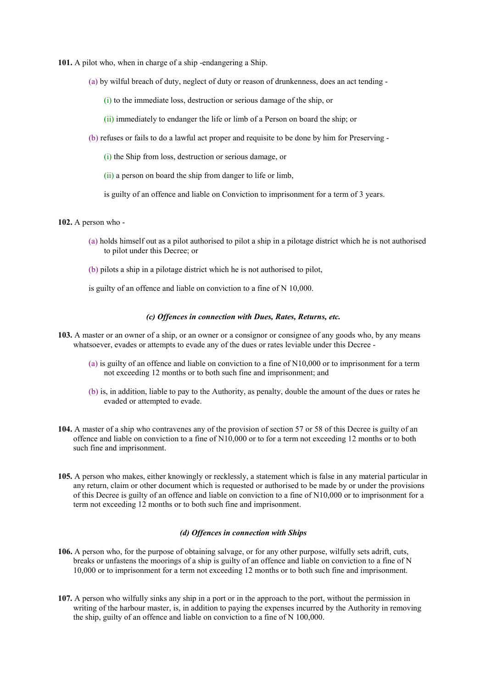**101.** A pilot who, when in charge of a ship -endangering a Ship.

- (a) by wilful breach of duty, neglect of duty or reason of drunkenness, does an act tending
	- (i) to the immediate loss, destruction or serious damage of the ship, or
	- (ii) immediately to endanger the life or limb of a Person on board the ship; or
- (b) refuses or fails to do a lawful act proper and requisite to be done by him for Preserving
	- (i) the Ship from loss, destruction or serious damage, or
	- (ii) a person on board the ship from danger to life or limb,
	- is guilty of an offence and liable on Conviction to imprisonment for a term of 3 years.

#### **102.** A person who -

- (a) holds himself out as a pilot authorised to pilot a ship in a pilotage district which he is not authorised to pilot under this Decree; or
- (b) pilots a ship in a pilotage district which he is not authorised to pilot,
- is guilty of an offence and liable on conviction to a fine of N 10,000.

### *(c) Offences in connection with Dues, Rates, Returns, etc.*

- **103.** A master or an owner of a ship, or an owner or a consignor or consignee of any goods who, by any means whatsoever, evades or attempts to evade any of the dues or rates leviable under this Decree -
	- (a) is guilty of an offence and liable on conviction to a fine of N10,000 or to imprisonment for a term not exceeding 12 months or to both such fine and imprisonment; and
	- (b) is, in addition, liable to pay to the Authority, as penalty, double the amount of the dues or rates he evaded or attempted to evade.
- **104.** A master of a ship who contravenes any of the provision of section 57 or 58 of this Decree is guilty of an offence and liable on conviction to a fine of N10,000 or to for a term not exceeding 12 months or to both such fine and imprisonment.
- **105.** A person who makes, either knowingly or recklessly, a statement which is false in any material particular in any return, claim or other document which is requested or authorised to be made by or under the provisions of this Decree is guilty of an offence and liable on conviction to a fine of N10,000 or to imprisonment for a term not exceeding 12 months or to both such fine and imprisonment.

### *(d) Offences in connection with Ships*

- **106.** A person who, for the purpose of obtaining salvage, or for any other purpose, wilfully sets adrift, cuts, breaks or unfastens the moorings of a ship is guilty of an offence and liable on conviction to a fine of N 10,000 or to imprisonment for a term not exceeding 12 months or to both such fine and imprisonment.
- **107.** A person who wilfully sinks any ship in a port or in the approach to the port, without the permission in writing of the harbour master, is, in addition to paying the expenses incurred by the Authority in removing the ship, guilty of an offence and liable on conviction to a fine of N 100,000.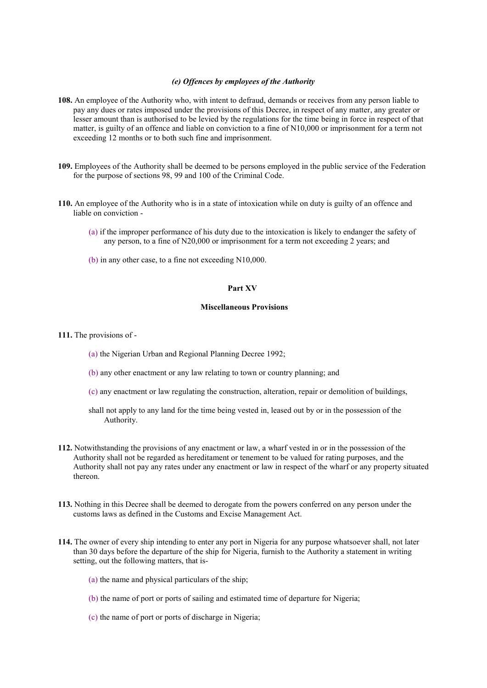#### *(e) Offences by employees of the Authority*

- **108.** An employee of the Authority who, with intent to defraud, demands or receives from any person liable to pay any dues or rates imposed under the provisions of this Decree, in respect of any matter, any greater or lesser amount than is authorised to be levied by the regulations for the time being in force in respect of that matter, is guilty of an offence and liable on conviction to a fine of N10,000 or imprisonment for a term not exceeding 12 months or to both such fine and imprisonment.
- **109.** Employees of the Authority shall be deemed to be persons employed in the public service of the Federation for the purpose of sections 98, 99 and 100 of the Criminal Code.
- **110.** An employee of the Authority who is in a state of intoxication while on duty is guilty of an offence and liable on conviction -
	- (a) if the improper performance of his duty due to the intoxication is likely to endanger the safety of any person, to a fine of N20,000 or imprisonment for a term not exceeding 2 years; and
	- (b) in any other case, to a fine not exceeding N10,000.

## **Part XV**

### **Miscellaneous Provisions**

**111.** The provisions of -

- (a) the Nigerian Urban and Regional Planning Decree 1992;
- (b) any other enactment or any law relating to town or country planning; and
- (c) any enactment or law regulating the construction, alteration, repair or demolition of buildings,
- shall not apply to any land for the time being vested in, leased out by or in the possession of the Authority.
- **112.** Notwithstanding the provisions of any enactment or law, a wharf vested in or in the possession of the Authority shall not be regarded as hereditament or tenement to be valued for rating purposes, and the Authority shall not pay any rates under any enactment or law in respect of the wharf or any property situated thereon.
- **113.** Nothing in this Decree shall be deemed to derogate from the powers conferred on any person under the customs laws as defined in the Customs and Excise Management Act.
- **114.** The owner of every ship intending to enter any port in Nigeria for any purpose whatsoever shall, not later than 30 days before the departure of the ship for Nigeria, furnish to the Authority a statement in writing setting, out the following matters, that is-
	- (a) the name and physical particulars of the ship;
	- (b) the name of port or ports of sailing and estimated time of departure for Nigeria;
	- (c) the name of port or ports of discharge in Nigeria;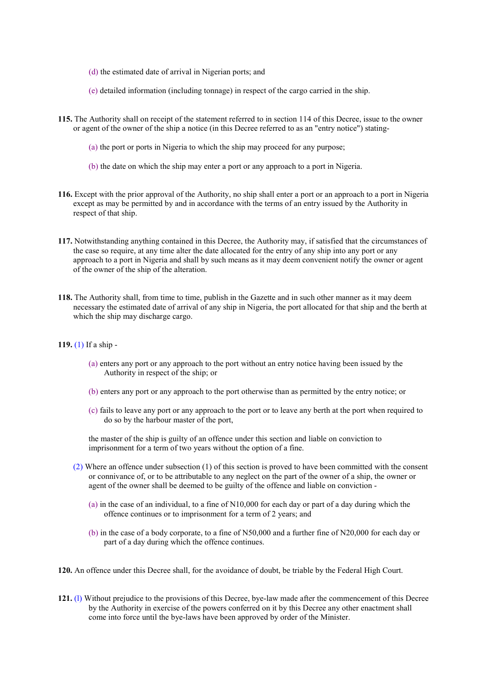- (d) the estimated date of arrival in Nigerian ports; and
- (e) detailed information (including tonnage) in respect of the cargo carried in the ship.
- **115.** The Authority shall on receipt of the statement referred to in section 114 of this Decree, issue to the owner or agent of the owner of the ship a notice (in this Decree referred to as an "entry notice") stating-
	- (a) the port or ports in Nigeria to which the ship may proceed for any purpose;
	- (b) the date on which the ship may enter a port or any approach to a port in Nigeria.
- **116.** Except with the prior approval of the Authority, no ship shall enter a port or an approach to a port in Nigeria except as may be permitted by and in accordance with the terms of an entry issued by the Authority in respect of that ship.
- **117.** Notwithstanding anything contained in this Decree, the Authority may, if satisfied that the circumstances of the case so require, at any time alter the date allocated for the entry of any ship into any port or any approach to a port in Nigeria and shall by such means as it may deem convenient notify the owner or agent of the owner of the ship of the alteration.
- **118.** The Authority shall, from time to time, publish in the Gazette and in such other manner as it may deem necessary the estimated date of arrival of any ship in Nigeria, the port allocated for that ship and the berth at which the ship may discharge cargo.
- **119.** (1) If a ship
	- (a) enters any port or any approach to the port without an entry notice having been issued by the Authority in respect of the ship; or
	- (b) enters any port or any approach to the port otherwise than as permitted by the entry notice; or
	- (c) fails to leave any port or any approach to the port or to leave any berth at the port when required to do so by the harbour master of the port,

the master of the ship is guilty of an offence under this section and liable on conviction to imprisonment for a term of two years without the option of a fine.

- (2) Where an offence under subsection (1) of this section is proved to have been committed with the consent or connivance of, or to be attributable to any neglect on the part of the owner of a ship, the owner or agent of the owner shall be deemed to be guilty of the offence and liable on conviction -
	- (a) in the case of an individual, to a fine of N10,000 for each day or part of a day during which the offence continues or to imprisonment for a term of 2 years; and
	- (b) in the case of a body corporate, to a fine of N50,000 and a further fine of N20,000 for each day or part of a day during which the offence continues.
- **120.** An offence under this Decree shall, for the avoidance of doubt, be triable by the Federal High Court.
- **121.** (l) Without prejudice to the provisions of this Decree, bye-law made after the commencement of this Decree by the Authority in exercise of the powers conferred on it by this Decree any other enactment shall come into force until the bye-laws have been approved by order of the Minister.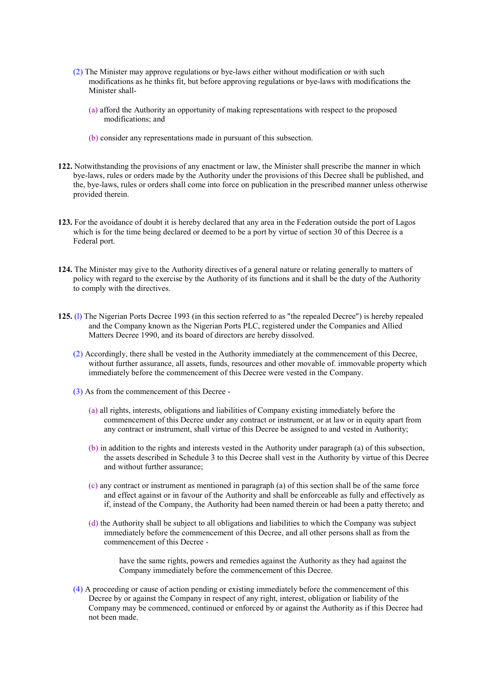- (2) The Minister may approve regulations or bye-laws either without modification or with such modifications as he thinks fit, but before approving regulations or bye-laws with modifications the Minister shall-
	- (a) afford the Authority an opportunity of making representations with respect to the proposed modifications; and
	- (b) consider any representations made in pursuant of this subsection.
- **122.** Notwithstanding the provisions of any enactment or law, the Minister shall prescribe the manner in which bye-laws, rules or orders made by the Authority under the provisions of this Decree shall be published, and the, bye-laws, rules or orders shall come into force on publication in the prescribed manner unless otherwise provided therein.
- **123.** For the avoidance of doubt it is hereby declared that any area in the Federation outside the port of Lagos which is for the time being declared or deemed to be a port by virtue of section 30 of this Decree is a Federal port.
- **124.** The Minister may give to the Authority directives of a general nature or relating generally to matters of policy with regard to the exercise by the Authority of its functions and it shall be the duty of the Authority to comply with the directives.
- **125.** (l) The Nigerian Ports Decree 1993 (in this section referred to as "the repealed Decree") is hereby repealed and the Company known as the Nigerian Ports PLC, registered under the Companies and Allied Matters Decree 1990, and its board of directors are hereby dissolved.
	- (2) Accordingly, there shall be vested in the Authority immediately at the commencement of this Decree, without further assurance, all assets, funds, resources and other movable of. immovable property which immediately before the commencement of this Decree were vested in the Company.
	- (3) As from the commencement of this Decree
		- (a) all rights, interests, obligations and liabilities of Company existing immediately before the commencement of this Decree under any contract or instrument, or at law or in equity apart from any contract or instrument, shall virtue of this Decree be assigned to and vested in Authority;
		- (b) in addition to the rights and interests vested in the Authority under paragraph (a) of this subsection, the assets described in Schedule 3 to this Decree shall vest in the Authority by virtue of this Decree and without further assurance;
		- (c) any contract or instrument as mentioned in paragraph (a) of this section shall be of the same force and effect against or in favour of the Authority and shall be enforceable as fully and effectively as if, instead of the Company, the Authority had been named therein or had been a patty thereto; and
		- (d) the Authority shall be subject to all obligations and liabilities to which the Company was subject immediately before the commencement of this Decree, and all other persons shall as from the commencement of this Decree -

have the same rights, powers and remedies against the Authority as they had against the Company immediately before the commencement of this Decree.

(4) A proceeding or cause of action pending or existing immediately before the commencement of this Decree by or against the Company in respect of any right, interest, obligation or liability of the Company may be commenced, continued or enforced by or against the Authority as if this Decree had not been made.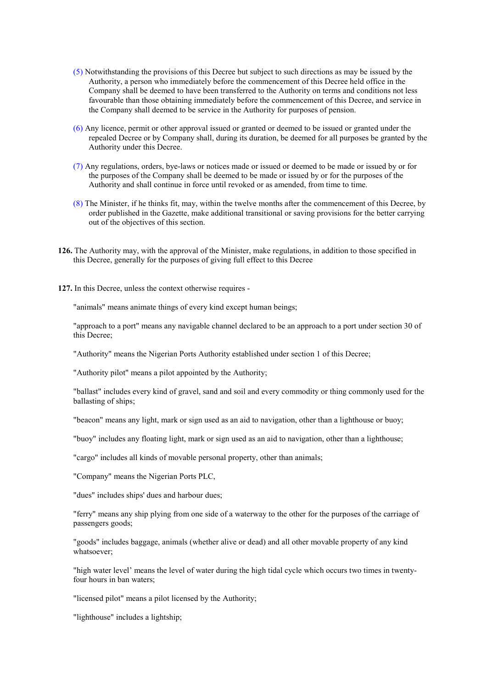- (5) Notwithstanding the provisions of this Decree but subject to such directions as may be issued by the Authority, a person who immediately before the commencement of this Decree held office in the Company shall be deemed to have been transferred to the Authority on terms and conditions not less favourable than those obtaining immediately before the commencement of this Decree, and service in the Company shall deemed to be service in the Authority for purposes of pension.
- (6) Any licence, permit or other approval issued or granted or deemed to be issued or granted under the repealed Decree or by Company shall, during its duration, be deemed for all purposes be granted by the Authority under this Decree.
- (7) Any regulations, orders, bye-laws or notices made or issued or deemed to be made or issued by or for the purposes of the Company shall be deemed to be made or issued by or for the purposes of the Authority and shall continue in force until revoked or as amended, from time to time.
- (8) The Minister, if he thinks fit, may, within the twelve months after the commencement of this Decree, by order published in the Gazette, make additional transitional or saving provisions for the better carrying out of the objectives of this section.
- **126.** The Authority may, with the approval of the Minister, make regulations, in addition to those specified in this Decree, generally for the purposes of giving full effect to this Decree
- **127.** In this Decree, unless the context otherwise requires -

"animals" means animate things of every kind except human beings;

"approach to a port" means any navigable channel declared to be an approach to a port under section 30 of this Decree;

"Authority" means the Nigerian Ports Authority established under section 1 of this Decree;

"Authority pilot" means a pilot appointed by the Authority;

"ballast" includes every kind of gravel, sand and soil and every commodity or thing commonly used for the ballasting of ships;

"beacon" means any light, mark or sign used as an aid to navigation, other than a lighthouse or buoy;

"buoy" includes any floating light, mark or sign used as an aid to navigation, other than a lighthouse;

"cargo" includes all kinds of movable personal property, other than animals;

"Company" means the Nigerian Ports PLC,

"dues" includes ships' dues and harbour dues;

"ferry" means any ship plying from one side of a waterway to the other for the purposes of the carriage of passengers goods;

"goods" includes baggage, animals (whether alive or dead) and all other movable property of any kind whatsoever;

"high water level' means the level of water during the high tidal cycle which occurs two times in twentyfour hours in ban waters;

"licensed pilot" means a pilot licensed by the Authority;

"lighthouse" includes a lightship;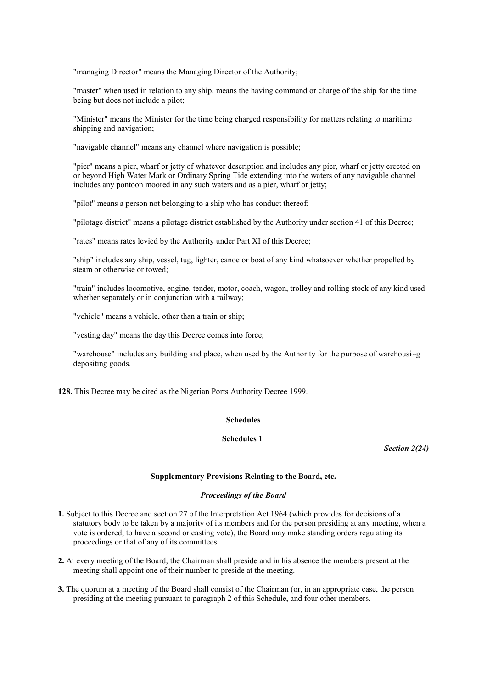"managing Director" means the Managing Director of the Authority;

"master" when used in relation to any ship, means the having command or charge of the ship for the time being but does not include a pilot;

"Minister" means the Minister for the time being charged responsibility for matters relating to maritime shipping and navigation;

"navigable channel" means any channel where navigation is possible;

"pier" means a pier, wharf or jetty of whatever description and includes any pier, wharf or jetty erected on or beyond High Water Mark or Ordinary Spring Tide extending into the waters of any navigable channel includes any pontoon moored in any such waters and as a pier, wharf or jetty;

"pilot" means a person not belonging to a ship who has conduct thereof;

"pilotage district" means a pilotage district established by the Authority under section 41 of this Decree;

"rates" means rates levied by the Authority under Part XI of this Decree;

"ship" includes any ship, vessel, tug, lighter, canoe or boat of any kind whatsoever whether propelled by steam or otherwise or towed;

"train" includes locomotive, engine, tender, motor, coach, wagon, trolley and rolling stock of any kind used whether separately or in conjunction with a railway;

"vehicle" means a vehicle, other than a train or ship;

"vesting day" means the day this Decree comes into force;

"warehouse" includes any building and place, when used by the Authority for the purpose of warehousi~g depositing goods.

**128.** This Decree may be cited as the Nigerian Ports Authority Decree 1999.

### **Schedules**

### **Schedules 1**

*Section 2(24)*

#### **Supplementary Provisions Relating to the Board, etc.**

### *Proceedings of the Board*

- **1.** Subject to this Decree and section 27 of the Interpretation Act 1964 (which provides for decisions of a statutory body to be taken by a majority of its members and for the person presiding at any meeting, when a vote is ordered, to have a second or casting vote), the Board may make standing orders regulating its proceedings or that of any of its committees.
- **2.** At every meeting of the Board, the Chairman shall preside and in his absence the members present at the meeting shall appoint one of their number to preside at the meeting.
- **3.** The quorum at a meeting of the Board shall consist of the Chairman (or, in an appropriate case, the person presiding at the meeting pursuant to paragraph 2 of this Schedule, and four other members.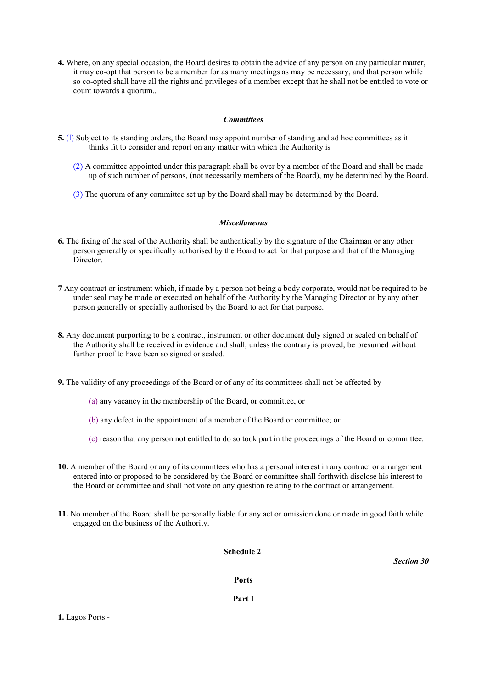**4.** Where, on any special occasion, the Board desires to obtain the advice of any person on any particular matter, it may co-opt that person to be a member for as many meetings as may be necessary, and that person while so co-opted shall have all the rights and privileges of a member except that he shall not be entitled to vote or count towards a quorum..

### *Committees*

- **5.** (l) Subject to its standing orders, the Board may appoint number of standing and ad hoc committees as it thinks fit to consider and report on any matter with which the Authority is
	- (2) A committee appointed under this paragraph shall be over by a member of the Board and shall be made up of such number of persons, (not necessarily members of the Board), my be determined by the Board.
	- (3) The quorum of any committee set up by the Board shall may be determined by the Board.

### *Miscellaneous*

- **6.** The fixing of the seal of the Authority shall be authentically by the signature of the Chairman or any other person generally or specifically authorised by the Board to act for that purpose and that of the Managing Director.
- **7** Any contract or instrument which, if made by a person not being a body corporate, would not be required to be under seal may be made or executed on behalf of the Authority by the Managing Director or by any other person generally or specially authorised by the Board to act for that purpose.
- **8.** Any document purporting to be a contract, instrument or other document duly signed or sealed on behalf of the Authority shall be received in evidence and shall, unless the contrary is proved, be presumed without further proof to have been so signed or sealed.
- **9.** The validity of any proceedings of the Board or of any of its committees shall not be affected by
	- (a) any vacancy in the membership of the Board, or committee, or
	- (b) any defect in the appointment of a member of the Board or committee; or
	- (c) reason that any person not entitled to do so took part in the proceedings of the Board or committee.
- **10.** A member of the Board or any of its committees who has a personal interest in any contract or arrangement entered into or proposed to be considered by the Board or committee shall forthwith disclose his interest to the Board or committee and shall not vote on any question relating to the contract or arrangement.
- **11.** No member of the Board shall be personally liable for any act or omission done or made in good faith while engaged on the business of the Authority.

## **Schedule 2**

*Section 30*

#### **Ports**

**Part I**

**1.** Lagos Ports -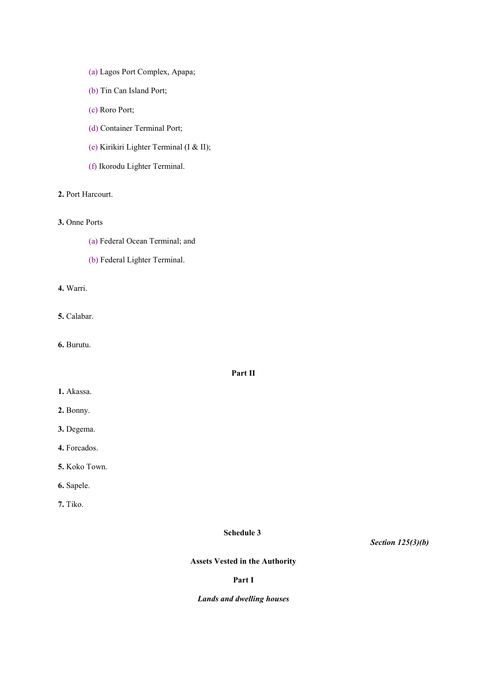- (a) Lagos Port Complex, Apapa;
- (b) Tin Can Island Port;
- (c) Roro Port;
- (d) Container Terminal Port;
- (e) Kirikiri Lighter Terminal (I & II);
- (f) Ikorodu Lighter Terminal.

# **2.** Port Harcourt.

## **3.** Onne Ports

- (a) Federal Ocean Terminal; and
- (b) Federal Lighter Terminal.

**4.** Warri.

**5.** Calabar.

**6.** Burutu.

## **Part II**

- **1.** Akassa.
- **2.** Bonny.
- **3.** Degema.
- **4.** Forcados.
- **5.** Koko Town.
- **6.** Sapele.

**7.** Tiko.

## **Schedule 3**

*Section 125(3)(b)*

# **Assets Vested in the Authority**

## **Part I**

## *Lands and dwelling houses*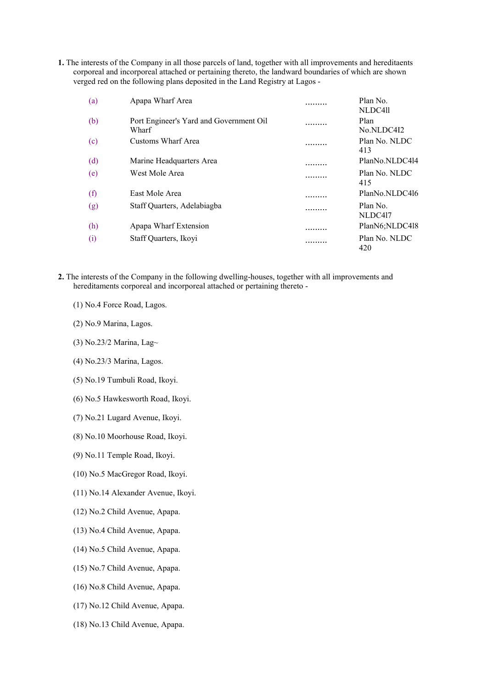**1.** The interests of the Company in all those parcels of land, together with all improvements and hereditaents corporeal and incorporeal attached or pertaining thereto, the landward boundaries of which are shown verged red on the following plans deposited in the Land Registry at Lagos -

| (a) | Apapa Wharf Area                                 | . | Plan No.<br>NLDC4ll  |
|-----|--------------------------------------------------|---|----------------------|
| (b) | Port Engineer's Yard and Government Oil<br>Wharf | . | Plan<br>No.NLDC4I2   |
| (c) | Customs Wharf Area                               | . | Plan No. NLDC<br>413 |
| (d) | Marine Headquarters Area                         | . | PlanNo.NLDC414       |
| (e) | West Mole Area                                   | . | Plan No. NLDC<br>415 |
| (f) | East Mole Area                                   | . | PlanNo.NLDC416       |
| (g) | Staff Quarters, Adelabiagba                      | . | Plan No.<br>NLDC417  |
| (h) | Apapa Wharf Extension                            |   | PlanN6;NLDC418       |
| (i) | Staff Quarters, Ikoyi                            |   | Plan No. NLDC<br>420 |

- **2.** The interests of the Company in the following dwelling-houses, together with all improvements and hereditaments corporeal and incorporeal attached or pertaining thereto -
	- (1) No.4 Force Road, Lagos.
	- (2) No.9 Marina, Lagos.
	- (3) No.23/2 Marina, Lag~
	- (4) No.23/3 Marina, Lagos.
	- (5) No.19 Tumbuli Road, Ikoyi.
	- (6) No.5 Hawkesworth Road, Ikoyi.
	- (7) No.21 Lugard Avenue, Ikoyi.
	- (8) No.10 Moorhouse Road, Ikoyi.
	- (9) No.11 Temple Road, Ikoyi.
	- (10) No.5 MacGregor Road, Ikoyi.
	- (11) No.14 Alexander Avenue, Ikoyi.
	- (12) No.2 Child Avenue, Apapa.
	- (13) No.4 Child Avenue, Apapa.
	- (14) No.5 Child Avenue, Apapa.
	- (15) No.7 Child Avenue, Apapa.
	- (16) No.8 Child Avenue, Apapa.
	- (17) No.12 Child Avenue, Apapa.
	- (18) No.13 Child Avenue, Apapa.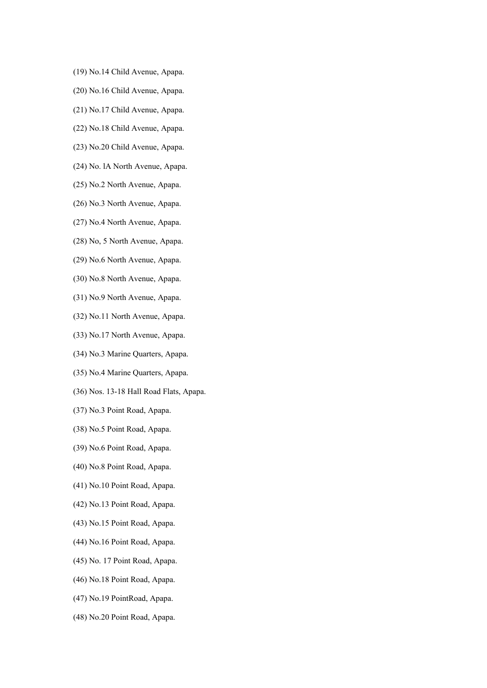- (19) No.14 Child Avenue, Apapa.
- (20) No.16 Child Avenue, Apapa.
- (21) No.17 Child Avenue, Apapa.
- (22) No.18 Child Avenue, Apapa.
- (23) No.20 Child Avenue, Apapa.
- (24) No. lA North Avenue, Apapa.
- (25) No.2 North Avenue, Apapa.
- (26) No.3 North Avenue, Apapa.
- (27) No.4 North Avenue, Apapa.
- (28) No, 5 North Avenue, Apapa.
- (29) No.6 North Avenue, Apapa.
- (30) No.8 North Avenue, Apapa.
- (31) No.9 North Avenue, Apapa.
- (32) No.11 North Avenue, Apapa.
- (33) No.17 North Avenue, Apapa.
- (34) No.3 Marine Quarters, Apapa.
- (35) No.4 Marine Quarters, Apapa.
- (36) Nos. 13-18 Hall Road Flats, Apapa.
- (37) No.3 Point Road, Apapa.
- (38) No.5 Point Road, Apapa.
- (39) No.6 Point Road, Apapa.
- (40) No.8 Point Road, Apapa.
- (41) No.10 Point Road, Apapa.
- (42) No.13 Point Road, Apapa.
- (43) No.15 Point Road, Apapa.
- (44) No.16 Point Road, Apapa.
- (45) No. 17 Point Road, Apapa.
- (46) No.18 Point Road, Apapa.
- (47) No.19 PointRoad, Apapa.
- (48) No.20 Point Road, Apapa.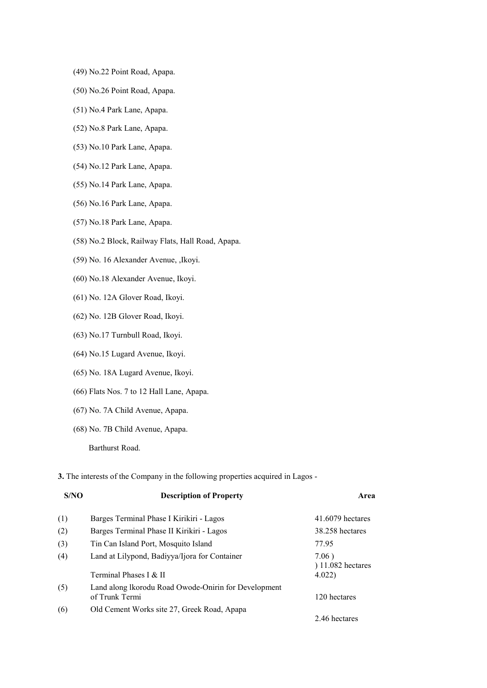- (49) No.22 Point Road, Apapa.
- (50) No.26 Point Road, Apapa.
- (51) No.4 Park Lane, Apapa.
- (52) No.8 Park Lane, Apapa.
- (53) No.10 Park Lane, Apapa.
- (54) No.12 Park Lane, Apapa.
- (55) No.14 Park Lane, Apapa.
- (56) No.16 Park Lane, Apapa.
- (57) No.18 Park Lane, Apapa.
- (58) No.2 Block, Railway Flats, Hall Road, Apapa.
- (59) No. 16 Alexander Avenue, ,Ikoyi.
- (60) No.18 Alexander Avenue, Ikoyi.
- (61) No. 12A Glover Road, Ikoyi.
- (62) No. 12B Glover Road, Ikoyi.
- (63) No.17 Turnbull Road, Ikoyi.
- (64) No.15 Lugard Avenue, Ikoyi.
- (65) No. 18A Lugard Avenue, Ikoyi.
- (66) Flats Nos. 7 to 12 Hall Lane, Apapa.
- (67) No. 7A Child Avenue, Apapa.
- (68) No. 7B Child Avenue, Apapa.

Barthurst Road.

### **3.** The interests of the Company in the following properties acquired in Lagos -

| S/NO | <b>Description of Property</b>                                         | Area                         |
|------|------------------------------------------------------------------------|------------------------------|
| (1)  | Barges Terminal Phase I Kirikiri - Lagos                               | 41.6079 hectares             |
| (2)  | Barges Terminal Phase II Kirikiri - Lagos                              | 38.258 hectares              |
| (3)  | Tin Can Island Port, Mosquito Island                                   | 77.95                        |
| (4)  | Land at Lilypond, Badiyya/Ijora for Container                          | 7.06)<br>$(11.082)$ hectares |
|      | Terminal Phases I & II                                                 | 4.022)                       |
| (5)  | Land along Ikorodu Road Owode-Onirin for Development<br>of Trunk Termi | 120 hectares                 |
| (6)  | Old Cement Works site 27, Greek Road, Apapa                            |                              |
|      |                                                                        | 2.46 hectares                |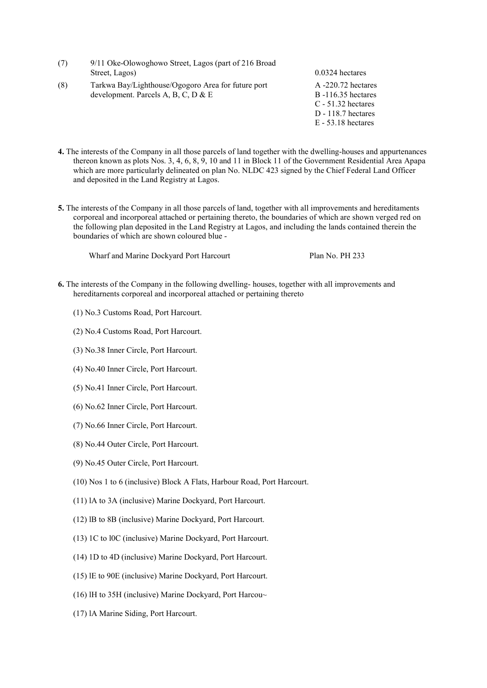- (7) 9/11 Oke-Olowoghowo Street, Lagos (part of 216 Broad Street, Lagos) 0.0324 hectares
- (8) Tarkwa Bay/Lighthouse/Ogogoro Area for future port development. Parcels A, B, C, D & E
- A -220.72 hectares B -116.35 hectares C - 51.32 hectares D - 118.7 hectares E - 53.18 hectares
- **4.** The interests of the Company in all those parcels of land together with the dwelling-houses and appurtenances thereon known as plots Nos. 3, 4, 6, 8, 9, 10 and 11 in Block 11 of the Government Residential Area Apapa which are more particularly delineated on plan No. NLDC 423 signed by the Chief Federal Land Officer and deposited in the Land Registry at Lagos.
- **5.** The interests of the Company in all those parcels of land, together with all improvements and hereditaments corporeal and incorporeal attached or pertaining thereto, the boundaries of which are shown verged red on the following plan deposited in the Land Registry at Lagos, and including the lands contained therein the boundaries of which are shown coloured blue -

Wharf and Marine Dockyard Port Harcourt Plan No. PH 233

- **6.** The interests of the Company in the following dwelling- houses, together with all improvements and hereditarnents corporeal and incorporeal attached or pertaining thereto
	- (1) No.3 Customs Road, Port Harcourt.
	- (2) No.4 Customs Road, Port Harcourt.
	- (3) No.38 Inner Circle, Port Harcourt.
	- (4) No.40 Inner Circle, Port Harcourt.
	- (5) No.41 Inner Circle, Port Harcourt.
	- (6) No.62 Inner Circle, Port Harcourt.
	- (7) No.66 Inner Circle, Port Harcourt.
	- (8) No.44 Outer Circle, Port Harcourt.
	- (9) No.45 Outer Circle, Port Harcourt.
	- (10) Nos 1 to 6 (inclusive) Block A Flats, Harbour Road, Port Harcourt.
	- (11) lA to 3A (inclusive) Marine Dockyard, Port Harcourt.
	- (12) lB to 8B (inclusive) Marine Dockyard, Port Harcourt.
	- (13) 1C to l0C (inclusive) Marine Dockyard, Port Harcourt.
	- (14) 1D to 4D (inclusive) Marine Dockyard, Port Harcourt.
	- (15) lE to 90E (inclusive) Marine Dockyard, Port Harcourt.
	- (16) lH to 35H (inclusive) Marine Dockyard, Port Harcou~
	- (17) lA Marine Siding, Port Harcourt.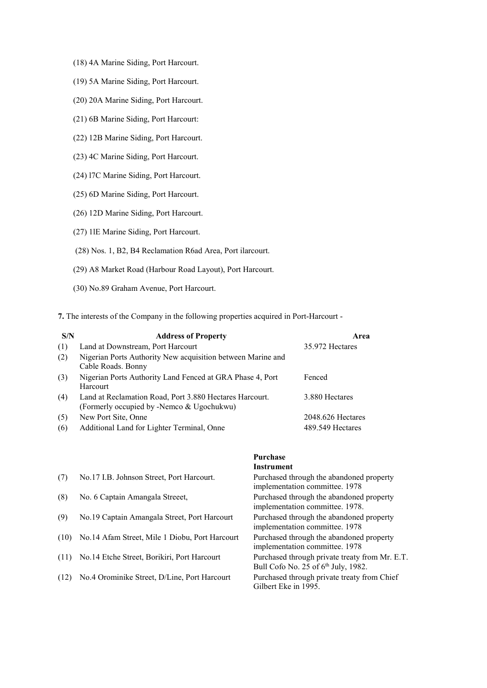- (18) 4A Marine Siding, Port Harcourt.
- (19) 5A Marine Siding, Port Harcourt.
- (20) 20A Marine Siding, Port Harcourt.
- (21) 6B Marine Siding, Port Harcourt:
- (22) 12B Marine Siding, Port Harcourt.
- (23) 4C Marine Siding, Port Harcourt.
- (24) l7C Marine Siding, Port Harcourt.
- (25) 6D Marine Siding, Port Harcourt.
- (26) 12D Marine Siding, Port Harcourt.
- (27) 1lE Marine Siding, Port Harcourt.
- (28) Nos. 1, B2, B4 Reclamation R6ad Area, Port ilarcourt.
- (29) A8 Market Road (Harbour Road Layout), Port Harcourt.
- (30) No.89 Graham Avenue, Port Harcourt.
- **7.** The interests of the Company in the following properties acquired in Port-Harcourt -

| S/N | <b>Address of Property</b>                                                                           | Area                |
|-----|------------------------------------------------------------------------------------------------------|---------------------|
| (1) | Land at Downstream, Port Harcourt                                                                    | 35.972 Hectares     |
| (2) | Nigerian Ports Authority New acquisition between Marine and<br>Cable Roads. Bonny                    |                     |
| (3) | Nigerian Ports Authority Land Fenced at GRA Phase 4, Port<br>Harcourt                                | Fenced              |
| (4) | Land at Reclamation Road, Port 3.880 Hectares Harcourt.<br>(Formerly occupied by -Nemco & Ugochukwu) | 3.880 Hectares      |
| (5) | New Port Site, Onne                                                                                  | $2048.626$ Hectares |
| (6) | Additional Land for Lighter Terminal, Onne                                                           | 489.549 Hectares    |

|      |                                                | <b>Instrument</b>                                                                                 |
|------|------------------------------------------------|---------------------------------------------------------------------------------------------------|
| (7)  | No.17 I.B. Johnson Street, Port Harcourt.      | Purchased through the abandoned property<br>implementation committee. 1978                        |
| (8)  | No. 6 Captain Amangala Streeet,                | Purchased through the abandoned property<br>implementation committee. 1978.                       |
| (9)  | No.19 Captain Amangala Street, Port Harcourt   | Purchased through the abandoned property<br>implementation committee. 1978                        |
| (10) | No.14 Afam Street, Mile 1 Diobu, Port Harcourt | Purchased through the abandoned property<br>implementation committee. 1978                        |
| (11) | No.14 Etche Street, Borikiri, Port Harcourt    | Purchased through private treaty from Mr. E.T.<br>Bull Cofo No. 25 of 6 <sup>th</sup> July, 1982. |
| (12) | No.4 Orominike Street, D/Line, Port Harcourt   | Purchased through private treaty from Chief<br>Gilbert Eke in 1995.                               |

**Purchase**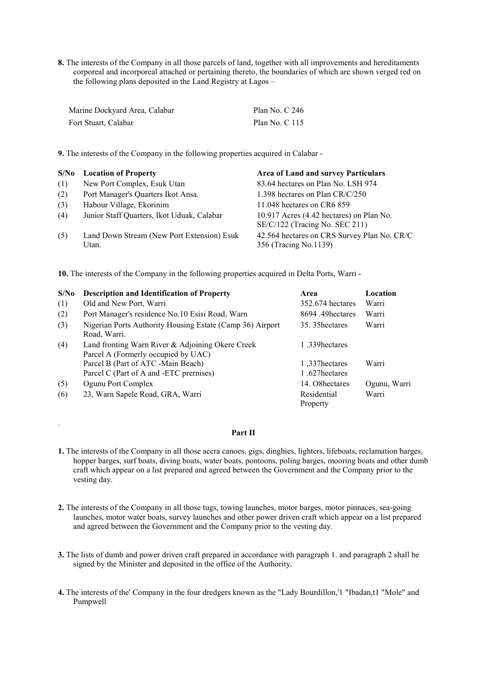**8.** The interests of the Company in all those parcels of land, together with all improvements and hereditaments corporeal and incorporeal attached or pertaining thereto, the boundaries of which are shown verged red on the following plans deposited in the Land Registry at Lagos –

| Marine Dockyard Area, Calabar | Plan No. $C$ 246 |
|-------------------------------|------------------|
| Fort Stuart, Calabar          | Plan No. $C$ 115 |

**9.** The interests of the Company in the following properties acquired in Calabar -

| S/No | <b>Location of Property</b>                         | <b>Area of Land and survey Particulars</b>                                 |
|------|-----------------------------------------------------|----------------------------------------------------------------------------|
| (1)  | New Port Complex, Esuk Utan                         | 83.64 hectares on Plan No. LSH 974                                         |
| (2)  | Port Manager's Quarters Ikot Ansa.                  | 1.398 hectares on Plan CR/C/250                                            |
| (3)  | Habour Village, Ekorinim                            | 11.048 hectares on CR6 859                                                 |
| (4)  | Junior Staff Quarters, Ikot Uduak, Calabar          | 10.917 Acres (4.42 hectares) on Plan No.<br>SE/C/122 (Tracing No. SEC 211) |
| (5)  | Land Down Stream (New Port Extension) Esuk<br>Utan. | 42.564 hectares on CRS Survey Plan No. CR/C<br>356 (Tracing No.1139)       |

**10.** The interests of the Company in the following properties acquired in Delta Ports, Warri -

.

| S/No | <b>Description and Identification of Property</b>                                       | Area                    | Location     |
|------|-----------------------------------------------------------------------------------------|-------------------------|--------------|
| (1)  | Old and New Port, Warri                                                                 | 352.674 hectares        | Warri        |
| (2)  | Port Manager's residence No.10 Esisi Road, Warn                                         | 8694.49hectares         | Warri        |
| (3)  | Nigerian Ports Authority Housing Estate (Camp 36) Airport<br>Road, Warri.               | 35. 35 hectares         | Warri        |
| (4)  | Land fronting Warn River & Adjoining Okere Creek<br>Parcel A (Formerly occupied by UAC) | 1.339 hectares          |              |
|      | Parcel B (Part of ATC -Main Beach)                                                      | 1.337 hectares          | Warri        |
|      | Parcel C (Part of A and -ETC premises)                                                  | 1.627hectares           |              |
| (5)  | Ogunu Port Complex                                                                      | 14. O8hectares          | Ogunu, Warri |
| (6)  | 23, Warn Sapele Road, GRA, Warri                                                        | Residential<br>Property | Warri        |

### **Part II**

- **1.** The interests of the Company in all those accra canoes, gigs, dinghies, lighters, lifeboats, reclamation barges, hopper barges, surf boats, diving boats, water boats, pontoons, poling barges, mooring boats and other dumb craft which appear on a list prepared and agreed between the Government and the Company prior to the vesting day.
- **2.** The interests of the Company in all those tugs, towing launches, motor barges, motor pinnaces, sea-going launches, motor water boats, survey launches and other power driven craft which appear on a list prepared and agreed between the Government and the Company prior to the vesting day.
- **3.** The lists of dumb and power driven craft prepared in accordance with paragraph 1. and paragraph 2 shall be signed by the Minister and deposited in the office of the Authority.
- **4.** The interests of the' Company in the four dredgers known as the "Lady Bourdillon,'1 "Ibadan,t1 "Mole" and Pumpwell